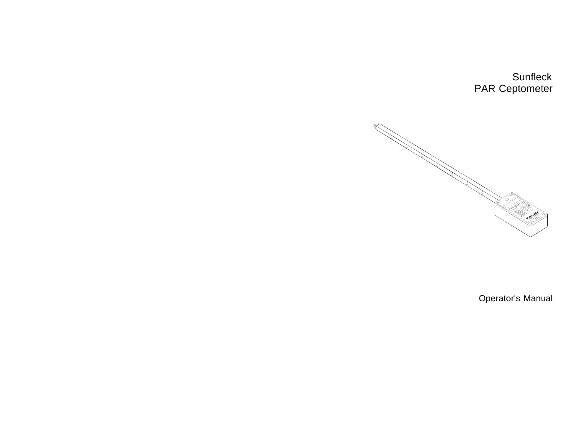# **Sunfleck** PAR Ceptometer



Operator's Manual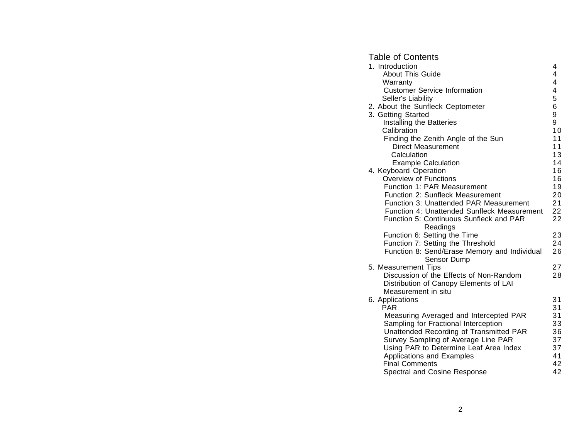# Table of Contents

| 1. Introduction                                                                 | 4                       |
|---------------------------------------------------------------------------------|-------------------------|
| <b>About This Guide</b>                                                         | 4                       |
| Warranty                                                                        | 4                       |
| <b>Customer Service Information</b>                                             | $\overline{\mathbf{4}}$ |
| Seller's Liability                                                              | 5                       |
| 2. About the Sunfleck Ceptometer                                                | 6                       |
| 3. Getting Started                                                              | 9                       |
| Installing the Batteries                                                        | 9                       |
| Calibration                                                                     | 10<br>11                |
| Finding the Zenith Angle of the Sun<br><b>Direct Measurement</b>                | 11                      |
| Calculation                                                                     | 13                      |
| <b>Example Calculation</b>                                                      | 14                      |
| 4. Keyboard Operation                                                           | 16                      |
| <b>Overview of Functions</b>                                                    | 16                      |
| Function 1: PAR Measurement                                                     | 19                      |
| Function 2: Sunfleck Measurement                                                | 20                      |
| Function 3: Unattended PAR Measurement                                          | 21                      |
| Function 4: Unattended Sunfleck Measurement                                     | 22                      |
| Function 5: Continuous Sunfleck and PAR                                         | 22                      |
| Readings                                                                        |                         |
| Function 6: Setting the Time                                                    | 23                      |
| Function 7: Setting the Threshold                                               | 24                      |
| Function 8: Send/Erase Memory and Individual<br>Sensor Dump                     | 26                      |
| 5. Measurement Tips                                                             | 27                      |
| Discussion of the Effects of Non-Random                                         | 28                      |
| Distribution of Canopy Elements of LAI                                          |                         |
| Measurement in situ                                                             |                         |
| 6. Applications                                                                 | 31                      |
| <b>PAR</b>                                                                      | 31                      |
| Measuring Averaged and Intercepted PAR                                          | 31                      |
| Sampling for Fractional Interception<br>Unattended Recording of Transmitted PAR | 33<br>36                |
| Survey Sampling of Average Line PAR                                             | 37                      |
| Using PAR to Determine Leaf Area Index                                          | 37                      |
| Applications and Examples                                                       | 41                      |
| <b>Final Comments</b>                                                           | 42                      |
| Spectral and Cosine Response                                                    | 42                      |
|                                                                                 |                         |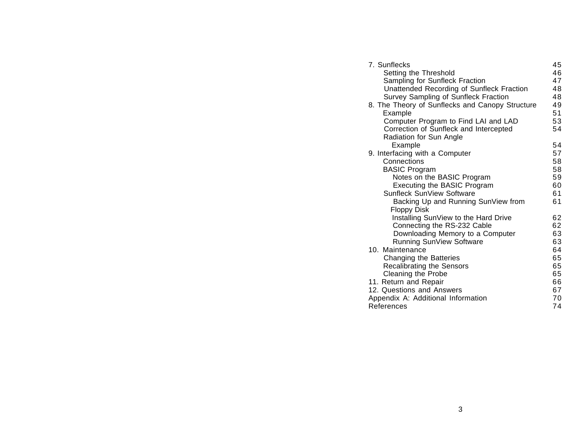| 7. Sunflecks                                    | 45       |  |
|-------------------------------------------------|----------|--|
| Setting the Threshold                           | 46       |  |
| Sampling for Sunfleck Fraction                  | 47       |  |
| Unattended Recording of Sunfleck Fraction       | 48       |  |
| Survey Sampling of Sunfleck Fraction            | 48       |  |
| 8. The Theory of Sunflecks and Canopy Structure | 49       |  |
| Example                                         | 51       |  |
| Computer Program to Find LAI and LAD            | 53       |  |
| Correction of Sunfleck and Intercepted          | 54       |  |
| Radiation for Sun Angle                         |          |  |
| Example                                         | 54       |  |
| 9. Interfacing with a Computer                  | 57       |  |
| Connections                                     | 58       |  |
| <b>BASIC Program</b>                            | 58       |  |
| Notes on the BASIC Program                      | 59       |  |
| <b>Executing the BASIC Program</b>              | 60       |  |
| Sunfleck SunView Software                       | 61       |  |
| Backing Up and Running SunView from             | 61       |  |
| <b>Floppy Disk</b>                              |          |  |
| Installing SunView to the Hard Drive            | 62       |  |
| Connecting the RS-232 Cable                     | 62       |  |
| Downloading Memory to a Computer                | 63       |  |
| Running SunView Software                        | 63       |  |
| 10. Maintenance                                 | 64       |  |
| Changing the Batteries                          | 65       |  |
| <b>Recalibrating the Sensors</b>                | 65       |  |
| Cleaning the Probe                              | 65       |  |
| 11. Return and Repair                           | 66<br>67 |  |
| 12. Questions and Answers                       |          |  |
| Appendix A: Additional Information              |          |  |
| References                                      |          |  |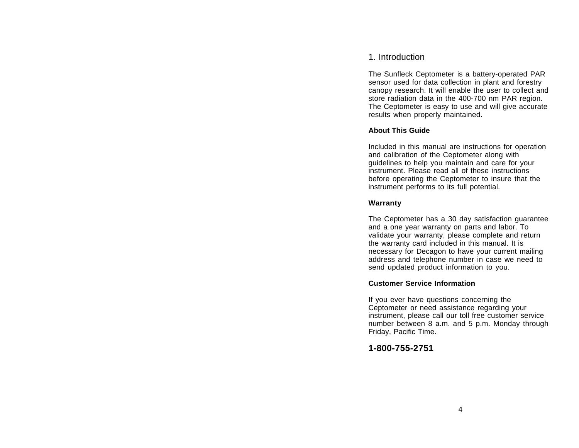# 1. Introduction

The Sunfleck Ceptometer is a battery-operated PAR sensor used for data collection in plant and forestry canopy research. It will enable the user to collect and store radiation data in the 400-700 nm PAR region. The Ceptometer is easy to use and will give accurate results when properly maintained.

## **About This Guide**

Included in this manual are instructions for operation and calibration of the Ceptometer along with guidelines to help you maintain and care for your instrument. Please read all of these instructionsbefore operating the Ceptometer to insure that the instrument performs to its full potential.

## **Warranty**

The Ceptometer has a 30 day satisfaction guarantee and a one year warranty on parts and labor. To validate your warranty, please complete and return the warranty card included in this manual. It is necessary for Decagon to have your current mailing address and telephone number in case we need to send updated product information to you.

### **Customer Service Information**

If you ever have questions concerning the Ceptometer or need assistance regarding your instrument, please call our toll free customer service number between 8 a.m. and 5 p.m. Monday through Friday, Pacific Time.

# **1-800-755-2751**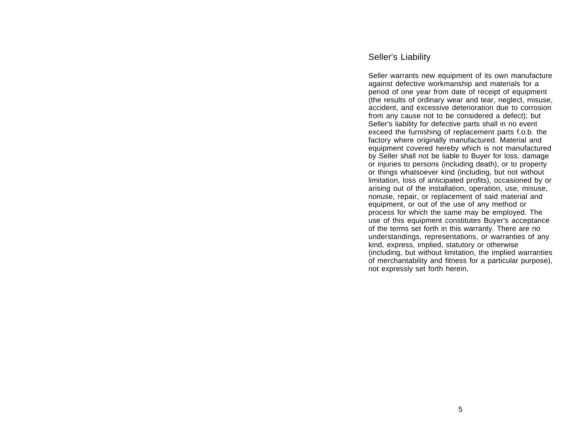# Seller's Liability

Seller warrants new equipment of its own manufacture against defective workmanship and materials for a period of one year from date of receipt of equipment (the results of ordinary wear and tear, neglect, misuse, accident, and excessive deterioration due to corrosion from any cause not to be considered a defect); but Seller's liability for defective parts shall in no event exceed the furnishing of replacement parts f.o.b. the factory where originally manufactured. Material and equipment covered hereby which is not manufactured by Seller shall not be liable to Buyer for loss, damage or injuries to persons (including death), or to property or things whatsoever kind (including, but not without limitation, loss of anticipated profits), occasioned by or arising out of the installation, operation, use, misuse, nonuse, repair, or replacement of said material and equipment, or out of the use of any method or process for which the same may be employed. The use of this equipment constitutes Buyer's acceptance of the terms set forth in this warranty. There are no understandings, representations, or warranties of any kind, express, implied, statutory or otherwise (including, but without limitation, the implied warranties of merchantability and fitness for a particular purpose), not expressly set forth herein.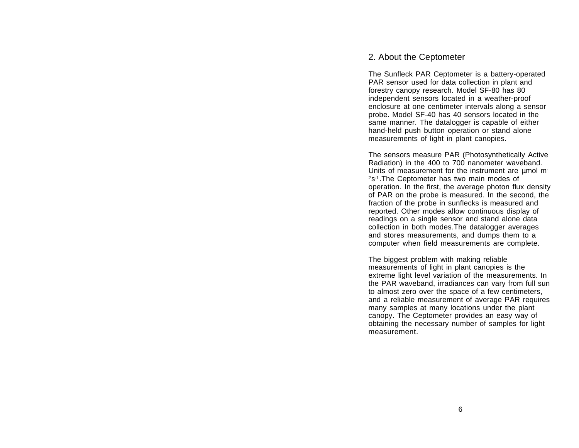# 2. About the Ceptometer

The Sunfleck PAR Ceptometer is a battery-operated PAR sensor used for data collection in plant and forestry canopy research. Model SF-80 has 80 independent sensors located in a weather-proof enclosure at one centimeter intervals along a sensor probe. Model SF-40 has 40 sensors located in the same manner. The datalogger is capable of either hand-held push button operation or stand alone measurements of light in plant canopies.

The sensors measure PAR (Photosynthetically Active Radiation) in the 400 to 700 nanometer waveband. Units of measurement for the instrument are µmol m<sup>-</sup> <sup>2</sup>s<sup>-1</sup>. The Ceptometer has two main modes of operation. In the first, the average photon flux density of PAR on the probe is measured. In the second, the fraction of the probe in sunflecks is measured and reported. Other modes allow continuous display of readings on a single sensor and stand alone data collection in both modes.The datalogger averages and stores measurements, and dumps them to a computer when field measurements are complete.

The biggest problem with making reliable measurements of light in plant canopies is the extreme light level variation of the measurements. In the PAR waveband, irradiances can vary from full sun to almost zero over the space of a few centimeters, and a reliable measurement of average PAR requires many samples at many locations under the plant canopy. The Ceptometer provides an easy way of obtaining the necessary number of samples for light measurement.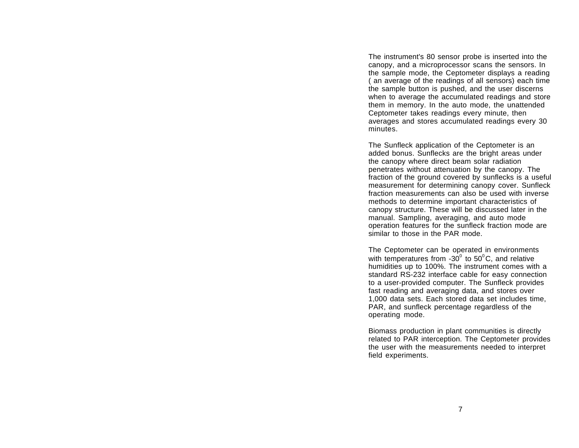The instrument's 80 sensor probe is inserted into the canopy, and a microprocessor scans the sensors. In the sample mode, the Ceptometer displays a reading ( an average of the readings of all sensors) each time the sample button is pushed, and the user discerns when to average the accumulated readings and store them in memory. In the auto mode, the unattended Ceptometer takes readings every minute, then averages and stores accumulated readings every 30 minutes.

The Sunfleck application of the Ceptometer is an added bonus. Sunflecks are the bright areas under the canopy where direct beam solar radiation penetrates without attenuation by the canopy. The fraction of the ground covered by sunflecks is a useful measurement for determining canopy cover. Sunfleck fraction measurements can also be used with inversemethods to determine important characteristics of canopy structure. These will be discussed later in the manual. Sampling, averaging, and auto mode operation features for the sunfleck fraction mode are similar to those in the PAR mode.

The Ceptometer can be operated in environments with temperatures from  $-30^{\circ}$  to  $50^{\circ}$ C, and relative humidities up to 100%. The instrument comes with a standard RS-232 interface cable for easy connection to a user-provided computer. The Sunfleck provides fast reading and averaging data, and stores over 1,000 data sets. Each stored data set includes time, PAR, and sunfleck percentage regardless of the operating mode.

Biomass production in plant communities is directly related to PAR interception. The Ceptometer provides the user with the measurements needed to interpret field experiments.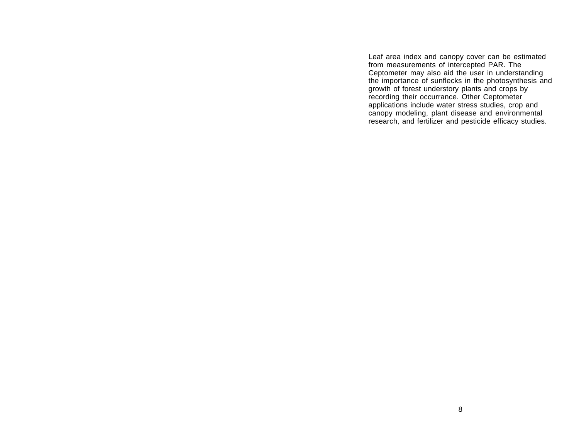Leaf area index and canopy cover can be estimated from measurements of intercepted PAR. The Ceptometer may also aid the user in understanding the importance of sunflecks in the photosynthesis and growth of forest understory plants and crops by recording their occurrance. Other Ceptometer applications include water stress studies, crop and canopy modeling, plant disease and environmental research, and fertilizer and pesticide efficacy studies.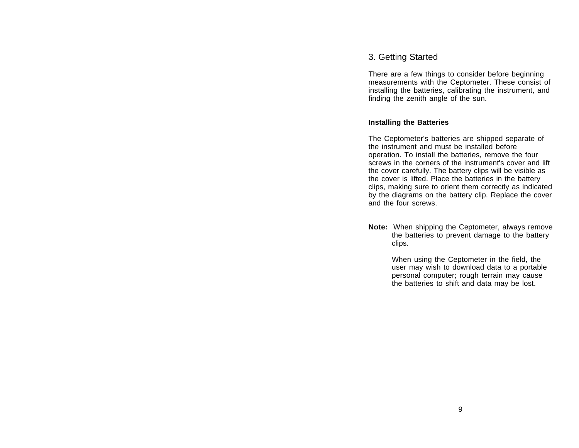# 3. Getting Started

There are a few things to consider before beginning measurements with the Ceptometer. These consist of installing the batteries, calibrating the instrument, and finding the zenith angle of the sun.

## **Installing the Batteries**

The Ceptometer's batteries are shipped separate of the instrument and must be installed beforeoperation. To install the batteries, remove the four screws in the corners of the instrument's cover and lift the cover carefully. The battery clips will be visible as the cover is lifted. Place the batteries in the battery clips, making sure to orient them correctly as indicated by the diagrams on the battery clip. Replace the cover and the four screws.

**Note:** When shipping the Ceptometer, always remove the batteries to prevent damage to the battery clips.

> When using the Ceptometer in the field, the user may wish to download data to a portable personal computer; rough terrain may cause the batteries to shift and data may be lost.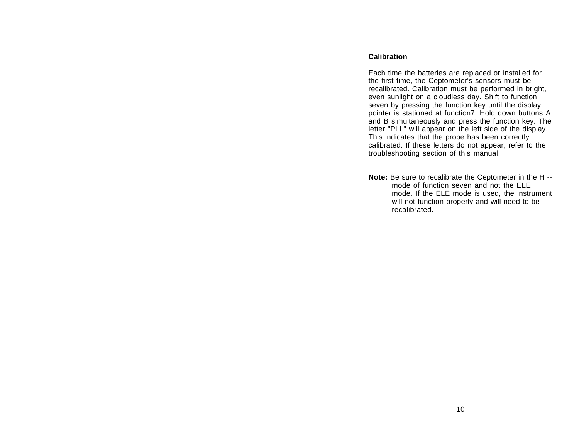## **Calibration**

Each time the batteries are replaced or installed for the first time, the Ceptometer's sensors must be recalibrated. Calibration must be performed in bright, even sunlight on a cloudless day. Shift to function seven by pressing the function key until the display pointer is stationed at function7. Hold down buttons A and B simultaneously and press the function key. The letter "PLL" will appear on the left side of the display. This indicates that the probe has been correctly calibrated. If these letters do not appear, refer to the troubleshooting section of this manual.

**Note:** Be sure to recalibrate the Ceptometer in the H - mode of function seven and not the ELEmode. If the ELE mode is used, the instrument will not function properly and will need to be recalibrated.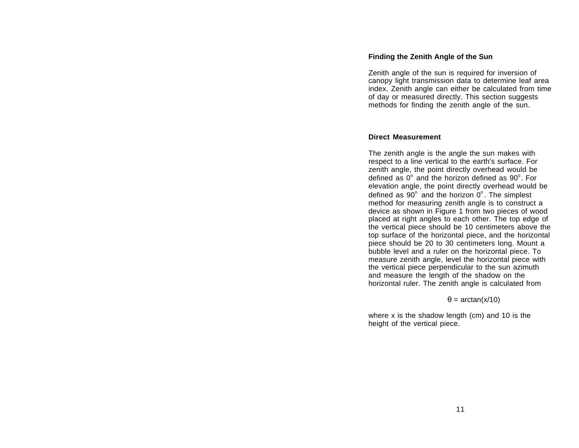#### **Finding the Zenith Angle of the Sun**

Zenith angle of the sun is required for inversion of canopy light transmission data to determine leaf area index. Zenith angle can either be calculated from time of day or measured directly. This section suggests methods for finding the zenith angle of the sun.

#### **Direct Measurement**

The zenith angle is the angle the sun makes with respect to a line vertical to the earth's surface. For zenith angle, the point directly overhead would be defined as  $0^{\circ}$  and the horizon defined as  $90^{\circ}$ . For elevation angle, the point directly overhead would be defined as  $90^\circ$  and the horizon  $0^\circ$ . The simplest method for measuring zenith angle is to construct a device as shown in Figure 1 from two pieces of wood placed at right angles to each other. The top edge of the vertical piece should be 10 centimeters above the top surface of the horizontal piece, and the horizontal piece should be 20 to 30 centimeters long. Mount a bubble level and a ruler on the horizontal piece. To measure zenith angle, level the horizontal piece with the vertical piece perpendicular to the sun azimuth and measure the length of the shadow on the horizontal ruler. The zenith angle is calculated from

 $\theta$  = arctan(x/10)

where x is the shadow length (cm) and 10 is the height of the vertical piece.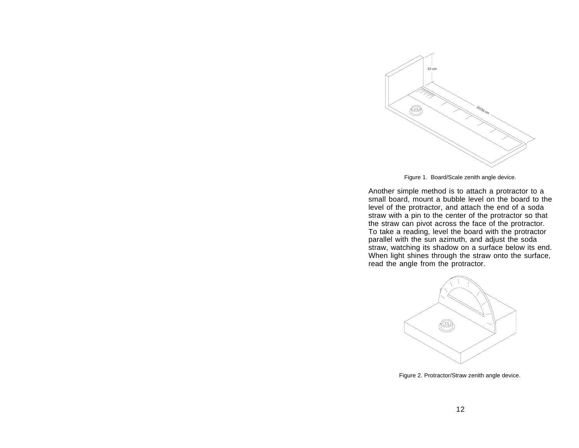

Figure 1. Board/Scale zenith angle device.

Another simple method is to attach a protractor to a small board, mount a bubble level on the board to the level of the protractor, and attach the end of a soda straw with a pin to the center of the protractor so that the straw can pivot across the face of the protractor. To take a reading, level the board with the protractor parallel with the sun azimuth, and adjust the soda straw, watching its shadow on a surface below its end. When light shines through the straw onto the surface, read the angle from the protractor.



Figure 2. Protractor/Straw zenith angle device.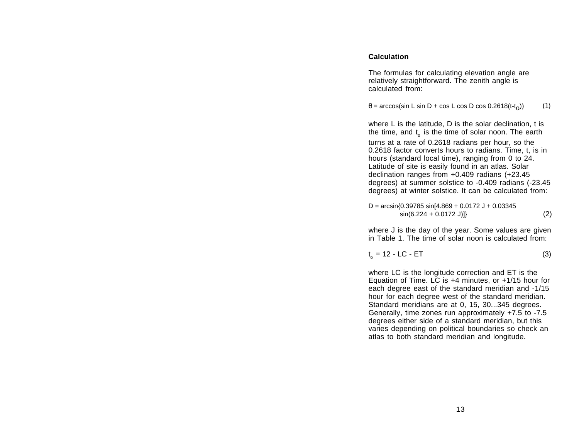## **Calculation**

The formulas for calculating elevation angle are relatively straightforward. The zenith angle is calculated from:

$$
\theta = \arccos(\sin L \sin D + \cos L \cos D \cos 0.2618(t-t_0))
$$
 (1)

where L is the latitude, D is the solar declination, t is the time, and  $t_{\alpha}$  is the time of solar noon. The earth turns at a rate of 0.2618 radians per hour, so the 0.2618 factor converts hours to radians. Time, t, is in hours (standard local time), ranging from 0 to 24. Latitude of site is easily found in an atlas. Solar declination ranges from +0.409 radians (+23.45 degrees) at summer solstice to -0.409 radians (-23.45 degrees) at winter solstice. It can be calculated from:

$$
D = \arcsin\{0.39785 \sin[4.869 + 0.0172 \text{ J} + 0.03345 \sin(6.224 + 0.0172 \text{ J})]\}\
$$
 (2)

where J is the day of the year. Some values are given in Table 1. The time of solar noon is calculated from:

$$
t_o = 12 - LC - ET \tag{3}
$$

where LC is the longitude correction and ET is the Equation of Time. LC is  $+4$  minutes, or  $+1/15$  hour for each degree east of the standard meridian and -1/15 hour for each degree west of the standard meridian. Standard meridians are at 0, 15, 30...345 degrees. Generally, time zones run approximately +7.5 to -7.5 degrees either side of a standard meridian, but this varies depending on political boundaries so check an atlas to both standard meridian and longitude.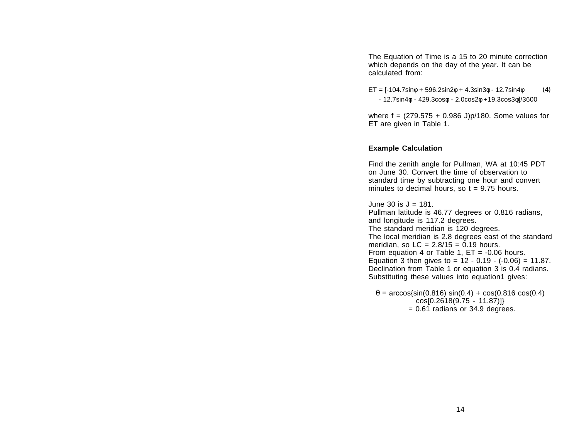The Equation of Time is a 15 to 20 minute correction which depends on the day of the year. It can be calculated from:

 $ET = [-104.7 \sin\phi + 596.2 \sin 2\phi + 4.3 \sin 3\phi - 12.7 \sin 4\phi$  (4) - 12.7sin4φ - 429.3cosφ - 2.0cos2φ +19.3cos3φ]/3600

where  $f = (279.575 + 0.986 \text{ J})p/180$ . Some values for ET are given in Table 1.

#### **Example Calculation**

Find the zenith angle for Pullman, WA at 10:45 PDT on June 30. Convert the time of observation tostandard time by subtracting one hour and convert minutes to decimal hours, so  $t = 9.75$  hours.

June 30 is J = 181.Pullman latitude is 46.77 degrees or 0.816 radians, and longitude is 117.2 degrees. The standard meridian is 120 degrees. The local meridian is 2.8 degrees east of the standard meridian, so  $LC = 2.8/15 = 0.19$  hours. From equation 4 or Table 1,  $ET = -0.06$  hours. Equation 3 then gives to =  $12 - 0.19 - (-0.06) = 11.87$ . Declination from Table 1 or equation 3 is 0.4 radians. Substituting these values into equation1 gives:

 $\theta$  = arccos{sin(0.816) sin(0.4) + cos(0.816 cos(0.4) cos[0.2618(9.75 - 11.87)]} = 0.61 radians or 34.9 degrees.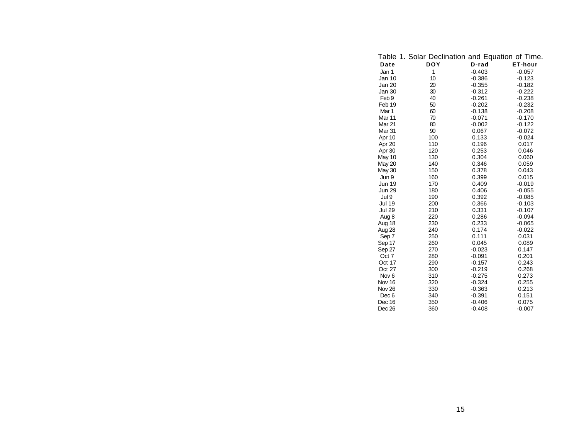| <u>Table</u>     | 1. Solar Declination and Equation of Time. |          |                |
|------------------|--------------------------------------------|----------|----------------|
| Date             | <b>DOY</b>                                 | D-rad    | <u>ET-hour</u> |
| Jan 1            | 1                                          | $-0.403$ | $-0.057$       |
| Jan 10           | 10                                         | $-0.386$ | $-0.123$       |
| Jan 20           | 20                                         | $-0.355$ | $-0.182$       |
| Jan 30           | 30                                         | $-0.312$ | $-0.222$       |
| Feb <sub>9</sub> | 40                                         | $-0.261$ | $-0.238$       |
| Feb 19           | 50                                         | $-0.202$ | $-0.232$       |
| Mar 1            | 60                                         | $-0.138$ | $-0.208$       |
| Mar 11           | 70                                         | $-0.071$ | $-0.170$       |
| Mar 21           | 80                                         | $-0.002$ | $-0.122$       |
| Mar 31           | 90                                         | 0.067    | $-0.072$       |
| Apr 10           | 100                                        | 0.133    | $-0.024$       |
| Apr 20           | 110                                        | 0.196    | 0.017          |
| Apr 30           | 120                                        | 0.253    | 0.046          |
| May 10           | 130                                        | 0.304    | 0.060          |
| <b>May 20</b>    | 140                                        | 0.346    | 0.059          |
| May 30           | 150                                        | 0.378    | 0.043          |
| Jun 9            | 160                                        | 0.399    | 0.015          |
| Jun 19           | 170                                        | 0.409    | $-0.019$       |
| <b>Jun 29</b>    | 180                                        | 0.406    | $-0.055$       |
| Jul 9            | 190                                        | 0.392    | $-0.085$       |
| <b>Jul 19</b>    | 200                                        | 0.366    | $-0.103$       |
| <b>Jul 29</b>    | 210                                        | 0.331    | $-0.107$       |
| Aug 8            | 220                                        | 0.286    | $-0.094$       |
| Aug 18           | 230                                        | 0.233    | $-0.065$       |
| Aug 28           | 240                                        | 0.174    | $-0.022$       |
| Sep 7            | 250                                        | 0.111    | 0.031          |
| Sep 17           | 260                                        | 0.045    | 0.089          |
| Sep 27           | 270                                        | $-0.023$ | 0.147          |
| Oct 7            | 280                                        | $-0.091$ | 0.201          |
| Oct 17           | 290                                        | $-0.157$ | 0.243          |
| Oct 27           | 300                                        | $-0.219$ | 0.268          |
| Nov <sub>6</sub> | 310                                        | $-0.275$ | 0.273          |
| Nov 16           | 320                                        | $-0.324$ | 0.255          |
| Nov 26           | 330                                        | $-0.363$ | 0.213          |
| Dec <sub>6</sub> | 340                                        | $-0.391$ | 0.151          |
| Dec 16           | 350                                        | $-0.406$ | 0.075          |
| Dec 26           | 360                                        | $-0.408$ | $-0.007$       |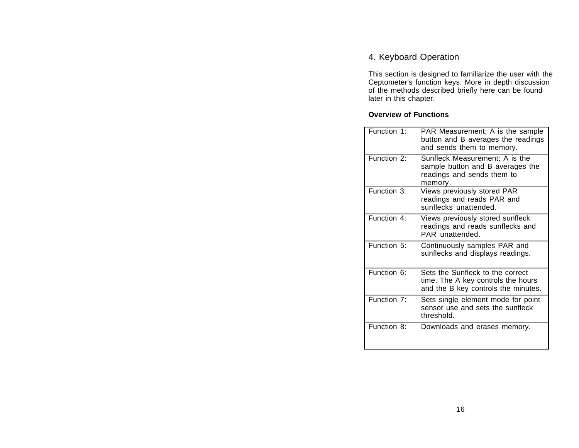# 4. Keyboard Operation

This section is designed to familiarize the user with the Ceptometer's function keys. More in depth discussion of the methods described briefly here can be found later in this chapter.

# **Overview of Functions**

| Function 1:               | PAR Measurement; A is the sample<br>button and B averages the readings<br>and sends them to memory.           |
|---------------------------|---------------------------------------------------------------------------------------------------------------|
| Function 2:               | Sunfleck Measurement; A is the<br>sample button and B averages the<br>readings and sends them to<br>memory.   |
| Function 3:               | Views previously stored PAR<br>readings and reads PAR and<br>sunflecks unattended.                            |
| Function 4:               | Views previously stored sunfleck<br>readings and reads sunflecks and<br>PAR unattended.                       |
| Function 5:               | Continuously samples PAR and<br>sunflecks and displays readings.                                              |
| Function 6:               | Sets the Sunfleck to the correct<br>time. The A key controls the hours<br>and the B key controls the minutes. |
| Function $\overline{7}$ : | Sets single element mode for point<br>sensor use and sets the sunfleck<br>threshold.                          |
| Function 8:               | Downloads and erases memory.                                                                                  |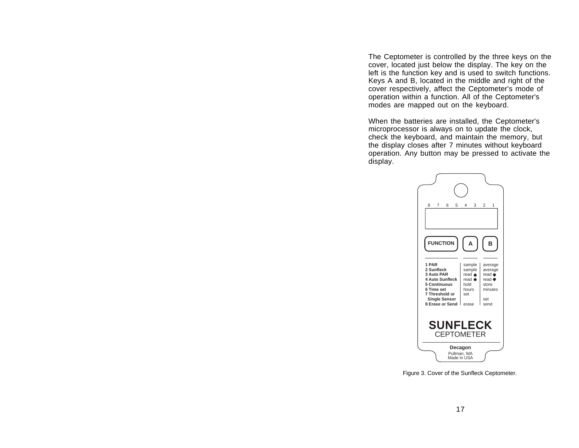The Ceptometer is controlled by the three keys on the cover, located just below the display. The key on the left is the function key and is used to switch functions. Keys A and B, located in the middle and right of the cover respectively, affect the Ceptometer's mode of operation within a function. All of the Ceptometer's modes are mapped out on the keyboard.

When the batteries are installed, the Ceptometer's microprocessor is always on to update the clock, check the keyboard, and maintain the memory, but the display closes after 7 minutes without keyboard operation. Any button may be pressed to activate the display.



Figure 3. Cover of the Sunfleck Ceptometer.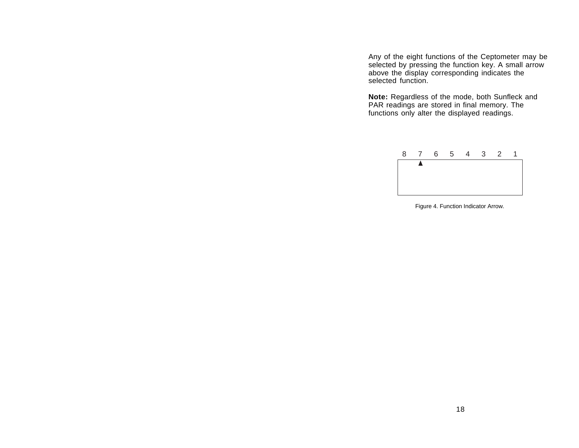Any of the eight functions of the Ceptometer may be selected by pressing the function key. A small arrow above the display corresponding indicates the selected function.

**Note:** Regardless of the mode, both Sunfleck and PAR readings are stored in final memory. The functions only alter the displayed readings.



Figure 4. Function Indicator Arrow.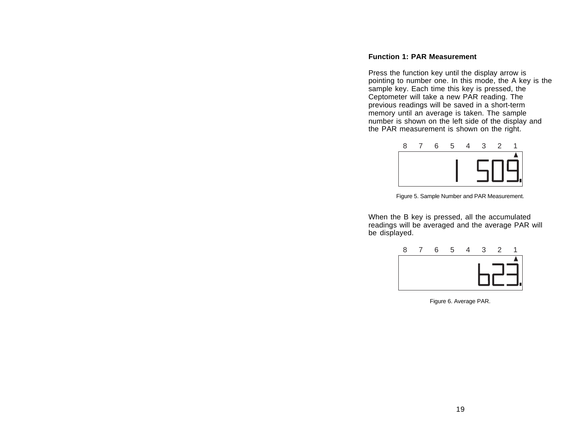#### **Function 1: PAR Measurement**

Press the function key until the display arrow is pointing to number one. In this mode, the A key is the sample key. Each time this key is pressed, the Ceptometer will take a new PAR reading. The previous readings will be saved in a short-term memory until an average is taken. The sample number is shown on the left side of the display and the PAR measurement is shown on the right.



Figure 5. Sample Number and PAR Measurement.

When the B key is pressed, all the accumulated readings will be averaged and the average PAR will be displayed.



Figure 6. Average PAR.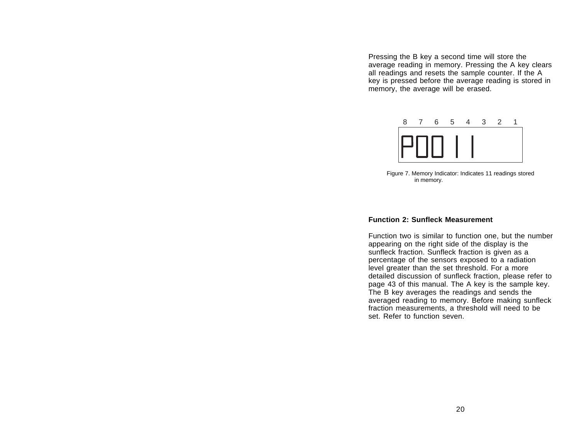Pressing the B key a second time will store the average reading in memory. Pressing the A key clears all readings and resets the sample counter. If the A key is pressed before the average reading is stored in memory, the average will be erased.



Figure 7. Memory Indicator: Indicates 11 readings stored in memory.

#### **Function 2: Sunfleck Measurement**

Function two is similar to function one, but the number appearing on the right side of the display is the sunfleck fraction. Sunfleck fraction is given as a percentage of the sensors exposed to a radiation level greater than the set threshold. For a more detailed discussion of sunfleck fraction, please refer to page 43 of this manual. The A key is the sample key. The B key averages the readings and sends the averaged reading to memory. Before making sunfleck fraction measurements, a threshold will need to be set. Refer to function seven.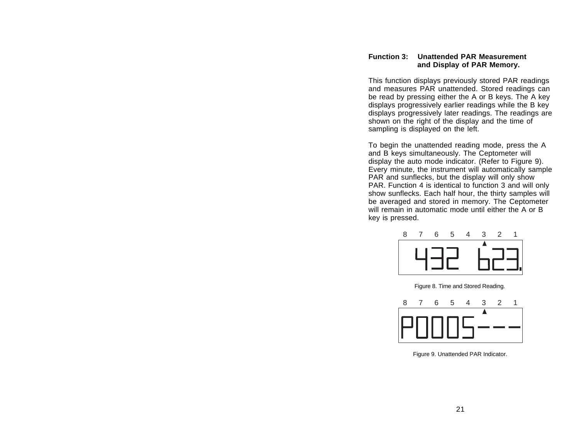## **Function 3: Unattended PAR Measurementand Display of PAR Memory.**

This function displays previously stored PAR readings and measures PAR unattended. Stored readings can be read by pressing either the A or B keys. The A key displays progressively earlier readings while the B key displays progressively later readings. The readings are shown on the right of the display and the time of sampling is displayed on the left.

To begin the unattended reading mode, press the A and B keys simultaneously. The Ceptometer will display the auto mode indicator. (Refer to Figure 9). Every minute, the instrument will automatically sample PAR and sunflecks, but the display will only show PAR. Function 4 is identical to function 3 and will only show sunflecks. Each half hour, the thirty samples will be averaged and stored in memory. The Ceptometer will remain in automatic mode until either the A or Bkey is pressed.



Figure 8. Time and Stored Reading.



Figure 9. Unattended PAR Indicator.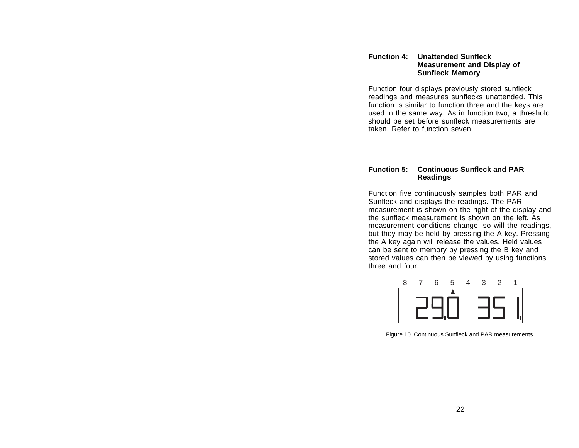#### **Function 4: Unattended SunfleckMeasurement and Display of Sunfleck Memory**

Function four displays previously stored sunfleck readings and measures sunflecks unattended. This function is similar to function three and the keys are used in the same way. As in function two, a threshold should be set before sunfleck measurements aretaken. Refer to function seven.

#### **Function 5: Continuous Sunfleck and PAR Readings**

Function five continuously samples both PAR and Sunfleck and displays the readings. The PAR measurement is shown on the right of the display and the sunfleck measurement is shown on the left. Asmeasurement conditions change, so will the readings, but they may be held by pressing the A key. Pressing the A key again will release the values. Held values can be sent to memory by pressing the B key and stored values can then be viewed by using functions three and four.



Figure 10. Continuous Sunfleck and PAR measurements.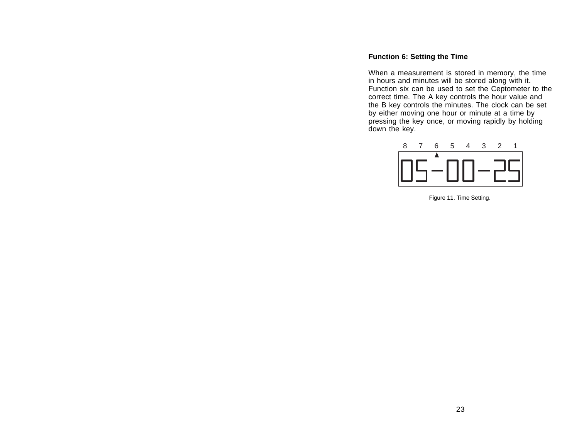## **Function 6: Setting the Time**

When a measurement is stored in memory, the time in hours and minutes will be stored along with it. Function six can be used to set the Ceptometer to the correct time. The A key controls the hour value and the B key controls the minutes. The clock can be set by either moving one hour or minute at a time by pressing the key once, or moving rapidly by holding down the key.



Figure 11. Time Setting.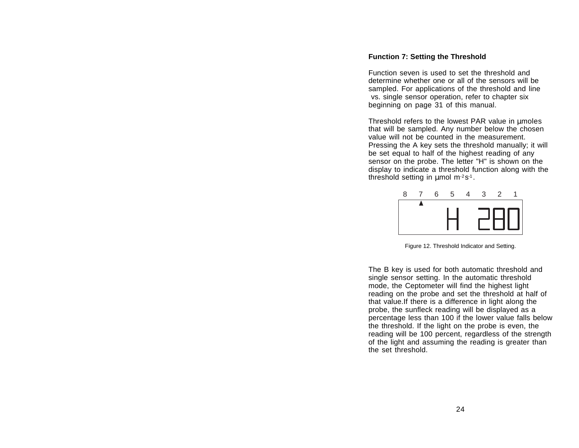#### **Function 7: Setting the Threshold**

Function seven is used to set the threshold anddetermine whether one or all of the sensors will besampled. For applications of the threshold and line vs. single sensor operation, refer to chapter six beginning on page 31 of this manual.

Threshold refers to the lowest PAR value in µmoles that will be sampled. Any number below the chosen value will not be counted in the measurement.Pressing the A key sets the threshold manually; it will be set equal to half of the highest reading of any sensor on the probe. The letter "H" is shown on the display to indicate a threshold function along with the threshold setting in µmol m<sup>-2</sup>s<sup>-1</sup>.



Figure 12. Threshold Indicator and Setting.

The B key is used for both automatic threshold and single sensor setting. In the automatic threshold mode, the Ceptometer will find the highest light reading on the probe and set the threshold at half of that value.If there is a difference in light along the probe, the sunfleck reading will be displayed as a percentage less than 100 if the lower value falls below the threshold. If the light on the probe is even, the reading will be 100 percent, regardless of the strength of the light and assuming the reading is greater than the set threshold.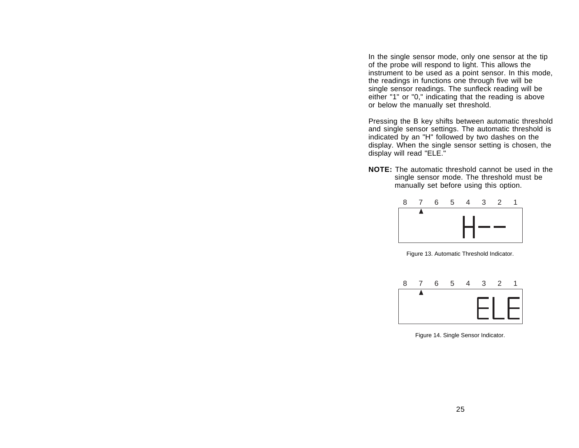In the single sensor mode, only one sensor at the tip of the probe will respond to light. This allows the instrument to be used as a point sensor. In this mode, the readings in functions one through five will be single sensor readings. The sunfleck reading will be either "1" or "0," indicating that the reading is above or below the manually set threshold.

Pressing the B key shifts between automatic threshold and single sensor settings. The automatic threshold is indicated by an "H" followed by two dashes on the display. When the single sensor setting is chosen, the display will read "ELE."

**NOTE:** The automatic threshold cannot be used in thesingle sensor mode. The threshold must be manually set before using this option.



Figure 13. Automatic Threshold Indicator.



Figure 14. Single Sensor Indicator.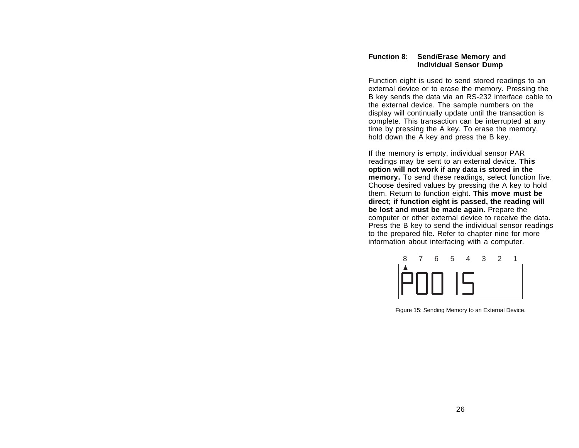## **Function 8: Send/Erase Memory and Individual Sensor Dump**

Function eight is used to send stored readings to an external device or to erase the memory. Pressing the B key sends the data via an RS-232 interface cable to the external device. The sample numbers on the display will continually update until the transaction is complete. This transaction can be interrupted at any time by pressing the A key. To erase the memory, hold down the A key and press the B key.

If the memory is empty, individual sensor PAR readings may be sent to an external device. **This option will not work if any data is stored in the memory.** To send these readings, select function five. Choose desired values by pressing the A key to hold them. Return to function eight. **This move must be direct; if function eight is passed, the reading will be lost and must be made again.** Prepare the computer or other external device to receive the data. Press the B key to send the individual sensor readings to the prepared file. Refer to chapter nine for more information about interfacing with a computer.



Figure 15: Sending Memory to an External Device.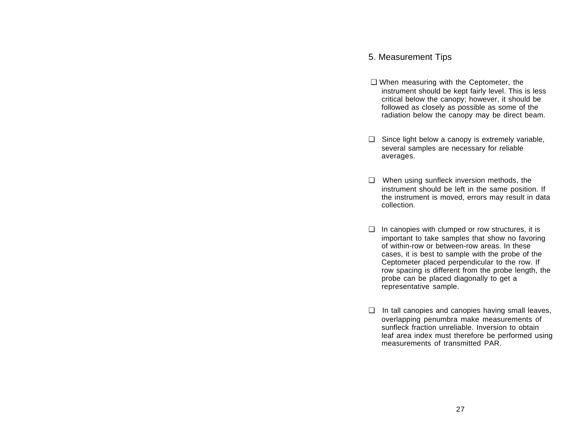# 5. Measurement Tips

- ❑ When measuring with the Ceptometer, the instrument should be kept fairly level. This is less critical below the canopy; however, it should be followed as closely as possible as some of the radiation below the canopy may be direct beam.
- ❑ Since light below a canopy is extremely variable, several samples are necessary for reliable averages.
- ❑ When using sunfleck inversion methods, the instrument should be left in the same position. If the instrument is moved, errors may result in data collection.
- $\Box$  In canopies with clumped or row structures, it is important to take samples that show no favoring of within-row or between-row areas. In thesecases, it is best to sample with the probe of the Ceptometer placed perpendicular to the row. If row spacing is different from the probe length, the probe can be placed diagonally to get a representative sample.
- ❑ In tall canopies and canopies having small leaves, overlapping penumbra make measurements of sunfleck fraction unreliable. Inversion to obtainleaf area index must therefore be performed using measurements of transmitted PAR.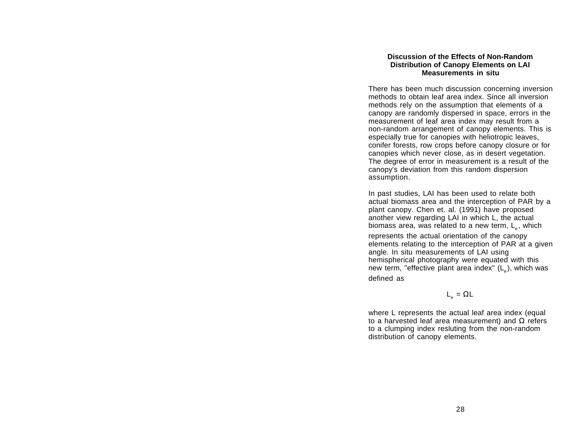#### **Discussion of the Effects of Non-RandomDistribution of Canopy Elements on LAI Measurements in situ**

There has been much discussion concerning inversion methods to obtain leaf area index. Since all inversionmethods rely on the assumption that elements of a canopy are randomly dispersed in space, errors in the measurement of leaf area index may result from a non-random arrangement of canopy elements. This is especially true for canopies with heliotropic leaves, conifer forests, row crops before canopy closure or for canopies which never close, as in desert vegetation. The degree of error in measurement is a result of the canopy's deviation from this random dispersion assumption.

In past studies, LAI has been used to relate both actual biomass area and the interception of PAR by a plant canopy. Chen et. al. (1991) have proposed another view regarding LAI in which L, the actual biomass area, was related to a new term, L<sub>e</sub>, which

represents the actual orientation of the canopy elements relating to the interception of PAR at a given angle. In situ measurements of LAI using hemispherical photography were equated with this new term, "effective plant area index" ( $\mathsf{L}_\texttt{e}$ ), which was defined as

 $\mathsf{L}_{_{\mathsf{e}}}=\Omega\mathsf{L}$ 

where L represents the actual leaf area index (equal to a harvested leaf area measurement) and  $\Omega$  refers to a clumping index resluting from the non-random distribution of canopy elements.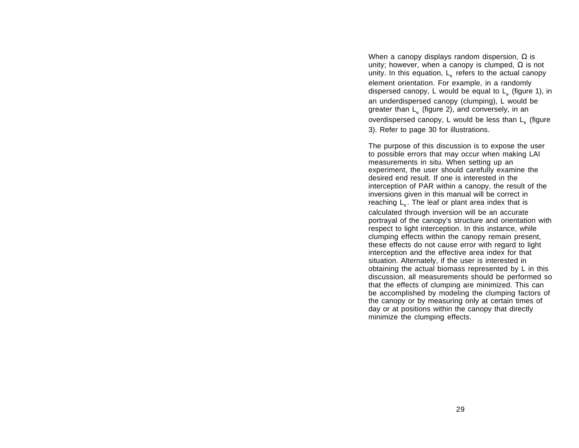When a canopy displays random dispersion,  $\Omega$  is unity; however, when a canopy is clumped,  $\Omega$  is not unity. In this equation,  $L_{\alpha}$  refers to the actual canopy element orientation. For example, in a randomly dispersed canopy, L would be equal to  $L_{\rm g}$  (figure 1), in an underdispersed canopy (clumping), L would be greater than  $L_{\alpha}$  (figure 2), and conversely, in an overdispersed canopy, L would be less than  $L_{\rho}$  (figure 3). Refer to page 30 for illustrations.

The purpose of this discussion is to expose the user to possible errors that may occur when making LAI measurements in situ. When setting up an experiment, the user should carefully examine the desired end result. If one is interested in theinterception of PAR within a canopy, the result of the inversions given in this manual will be correct in reaching  $\mathsf{L}_{_\mathsf{e}}.$  The leaf or plant area index that is calculated through inversion will be an accurate portrayal of the canopy's structure and orientation with respect to light interception. In this instance, while clumping effects within the canopy remain present, these effects do not cause error with regard to light interception and the effective area index for that situation. Alternately, if the user is interested in obtaining the actual biomass represented by L in this discussion, all measurements should be performed so that the effects of clumping are minimized. This can be accomplished by modeling the clumping factors of the canopy or by measuring only at certain times of day or at positions within the canopy that directly minimize the clumping effects.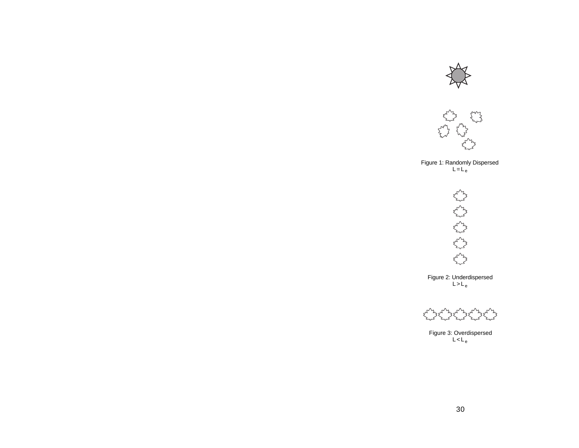



Figure 1: Randomly Dispersed  $L = L_e$ 



Figure 2: Underdispersed L>L<sub>e</sub>



Figure 3: Overdispersed L<L<sub>e</sub>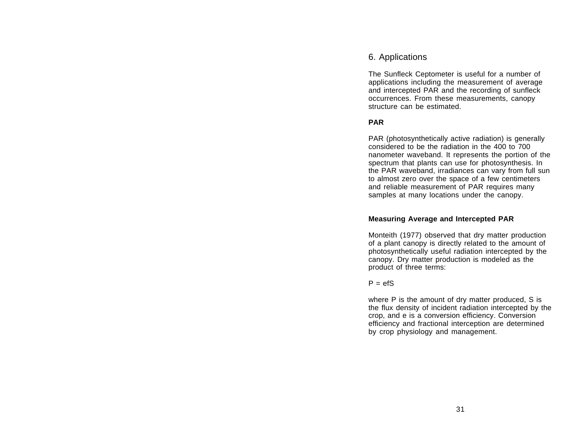# 6. Applications

The Sunfleck Ceptometer is useful for a number of applications including the measurement of average and intercepted PAR and the recording of sunfleck occurrences. From these measurements, canopy structure can be estimated.

# **PAR**

PAR (photosynthetically active radiation) is generally considered to be the radiation in the 400 to 700 nanometer waveband. It represents the portion of the spectrum that plants can use for photosynthesis. In the PAR waveband, irradiances can vary from full sun to almost zero over the space of a few centimeters and reliable measurement of PAR requires many samples at many locations under the canopy.

## **Measuring Average and Intercepted PAR**

Monteith (1977) observed that dry matter production of a plant canopy is directly related to the amount of photosynthetically useful radiation intercepted by the canopy. Dry matter production is modeled as the product of three terms:

## $P = efS$

where P is the amount of dry matter produced, S is the flux density of incident radiation intercepted by the crop, and e is a conversion efficiency. Conversion efficiency and fractional interception are determined by crop physiology and management.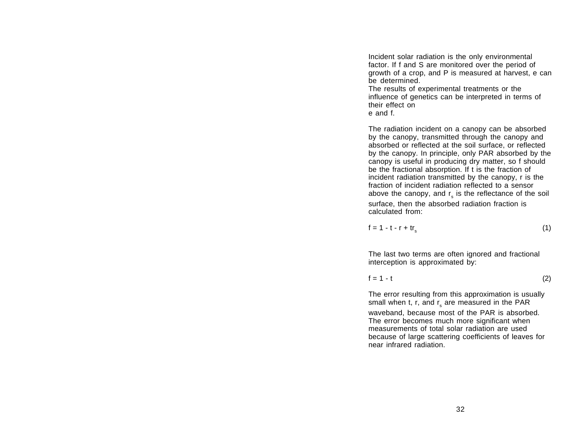Incident solar radiation is the only environmental factor. If f and S are monitored over the period of growth of a crop, and P is measured at harvest, e can be determined.The results of experimental treatments or the influence of genetics can be interpreted in terms of their effect on

e and f.

The radiation incident on a canopy can be absorbed by the canopy, transmitted through the canopy and absorbed or reflected at the soil surface, or reflected by the canopy. In principle, only PAR absorbed by the canopy is useful in producing dry matter, so f should be the fractional absorption. If t is the fraction of incident radiation transmitted by the canopy, r is the fraction of incident radiation reflected to a sensor above the canopy, and  $r_{s}$  is the reflectance of the soil surface, then the absorbed radiation fraction is calculated from:

$$
f = 1 - t - r + tr_s \tag{1}
$$

The last two terms are often ignored and fractional interception is approximated by:

$$
f = 1 - t \tag{2}
$$

The error resulting from this approximation is usually small when t, r, and  $r_s$  are measured in the PAR waveband, because most of the PAR is absorbed. The error becomes much more significant when measurements of total solar radiation are used because of large scattering coefficients of leaves for near infrared radiation.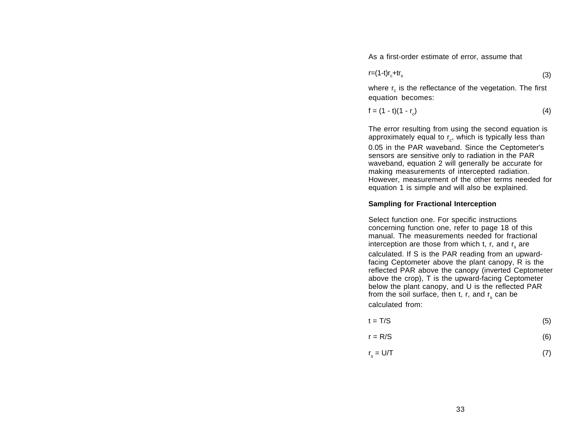As a first-order estimate of error, assume that

$$
r = (1-t)r_c + tr_s \tag{3}
$$

where  $r_c$  is the reflectance of the vegetation. The first equation becomes:

$$
f = (1 - t)(1 - r_c)
$$
 (4)

The error resulting from using the second equation is approximately equal to  $r_c$ , which is typically less than 0.05 in the PAR waveband. Since the Ceptometer's sensors are sensitive only to radiation in the PAR waveband, equation 2 will generally be accurate for making measurements of intercepted radiation. However, measurement of the other terms needed for equation 1 is simple and will also be explained.

## **Sampling for Fractional Interception**

Select function one. For specific instructions concerning function one, refer to page 18 of this manual. The measurements needed for fractionalinterception are those from which t, r, and  $r_{s}$  are calculated. If S is the PAR reading from an upwardfacing Ceptometer above the plant canopy, R is the reflected PAR above the canopy (inverted Ceptometer above the crop), T is the upward-facing Ceptometer below the plant canopy, and U is the reflected PAR from the soil surface, then t, r, and  $r_{s}$  can be calculated from:

| $t = T/S$ | (5) |
|-----------|-----|
|           |     |

$$
r = R/S \tag{6}
$$

$$
r_s = U/T \tag{7}
$$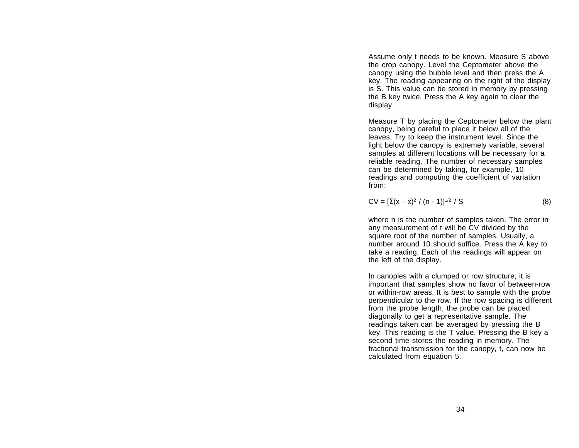Assume only t needs to be known. Measure S above the crop canopy. Level the Ceptometer above the canopy using the bubble level and then press the A key. The reading appearing on the right of the display is S. This value can be stored in memory by pressing the B key twice. Press the A key again to clear the display.

Measure T by placing the Ceptometer below the plant canopy, being careful to place it below all of the leaves. Try to keep the instrument level. Since the light below the canopy is extremely variable, several samples at different locations will be necessary for a reliable reading. The number of necessary samples can be determined by taking, for example, 10 readings and computing the coefficient of variation from:

$$
CV = [\Sigma(x_i - x)^2 / (n - 1)]^{1/2} / S
$$
 (8)

where n is the number of samples taken. The error in any measurement of t will be CV divided by the square root of the number of samples. Usually, a number around 10 should suffice. Press the A key to take a reading. Each of the readings will appear on the left of the display.

In canopies with a clumped or row structure, it is important that samples show no favor of between-row or within-row areas. It is best to sample with the probe perpendicular to the row. If the row spacing is different from the probe length, the probe can be placed diagonally to get a representative sample. The readings taken can be averaged by pressing the B key. This reading is the T value. Pressing the B key a second time stores the reading in memory. The fractional transmission for the canopy, t, can now be calculated from equation 5.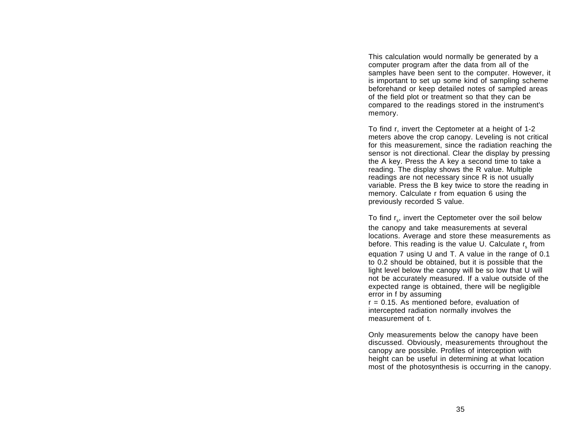This calculation would normally be generated by a computer program after the data from all of the samples have been sent to the computer. However, it is important to set up some kind of sampling scheme beforehand or keep detailed notes of sampled areas of the field plot or treatment so that they can be compared to the readings stored in the instrument's memory.

To find r, invert the Ceptometer at a height of 1-2 meters above the crop canopy. Leveling is not critical for this measurement, since the radiation reaching the sensor is not directional. Clear the display by pressing the A key. Press the A key a second time to take a reading. The display shows the R value. Multiple readings are not necessary since R is not usually variable. Press the B key twice to store the reading in memory. Calculate r from equation 6 using the previously recorded S value.

To find r<sub>s</sub>, invert the Ceptometer over the soil below the canopy and take measurements at several locations. Average and store these measurements as before. This reading is the value  $U$ . Calculate  $r_{\rm s}$  from equation 7 using U and T. A value in the range of 0.1 to 0.2 should be obtained, but it is possible that the light level below the canopy will be so low that U will not be accurately measured. If a value outside of the expected range is obtained, there will be negligible error in f by assuming  $r = 0.15$ . As mentioned before, evaluation of

intercepted radiation normally involves the measurement of t.

Only measurements below the canopy have been discussed. Obviously, measurements throughout the canopy are possible. Profiles of interception with height can be useful in determining at what location most of the photosynthesis is occurring in the canopy.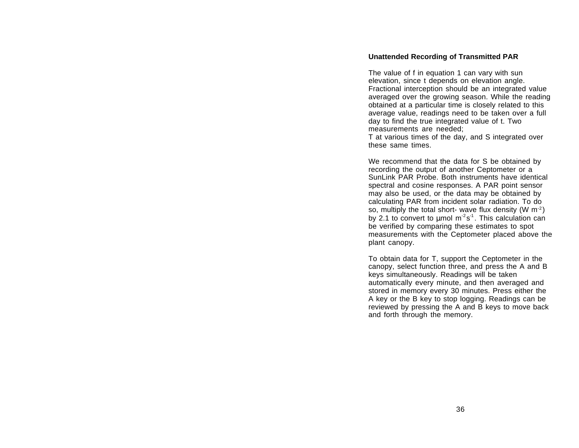#### **Unattended Recording of Transmitted PAR**

The value of f in equation 1 can vary with sun elevation, since t depends on elevation angle. Fractional interception should be an integrated value averaged over the growing season. While the reading obtained at a particular time is closely related to this average value, readings need to be taken over a full day to find the true integrated value of t. Two measurements are needed;

T at various times of the day, and S integrated over these same times.

We recommend that the data for S be obtained by recording the output of another Ceptometer or a SunLink PAR Probe. Both instruments have identicalspectral and cosine responses. A PAR point sensor may also be used, or the data may be obtained by calculating PAR from incident solar radiation. To do so, multiply the total short- wave flux density  $(W m^{-2})$ by 2.1 to convert to  $\mu$ mol m<sup>-2</sup>s<sup>-1</sup>. This calculation can be verified by comparing these estimates to spot measurements with the Ceptometer placed above the plant canopy.

To obtain data for T, support the Ceptometer in the canopy, select function three, and press the A and B keys simultaneously. Readings will be taken automatically every minute, and then averaged and stored in memory every 30 minutes. Press either the A key or the B key to stop logging. Readings can be reviewed by pressing the A and B keys to move back and forth through the memory.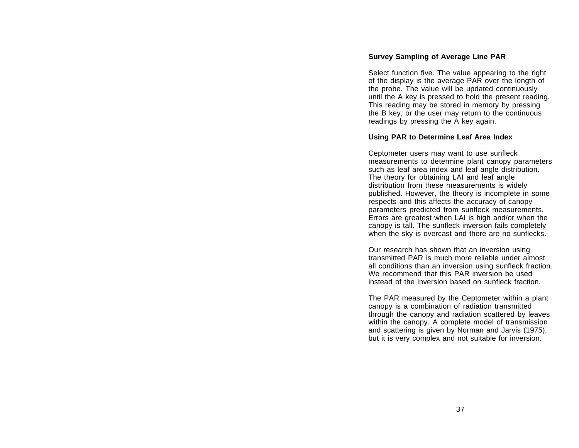## **Survey Sampling of Average Line PAR**

Select function five. The value appearing to the right of the display is the average PAR over the length of the probe. The value will be updated continuously until the A key is pressed to hold the present reading. This reading may be stored in memory by pressing the B key, or the user may return to the continuous readings by pressing the A key again.

## **Using PAR to Determine Leaf Area Index**

Ceptometer users may want to use sunfleck measurements to determine plant canopy parameters such as leaf area index and leaf angle distribution. The theory for obtaining LAI and leaf angle distribution from these measurements is widely published. However, the theory is incomplete in some respects and this affects the accuracy of canopy parameters predicted from sunfleck measurements. Errors are greatest when LAI is high and/or when the canopy is tall. The sunfleck inversion fails completely when the sky is overcast and there are no sunflecks.

Our research has shown that an inversion using transmitted PAR is much more reliable under almost all conditions than an inversion using sunfleck fraction. We recommend that this PAR inversion be usedinstead of the inversion based on sunfleck fraction.

The PAR measured by the Ceptometer within a plant canopy is a combination of radiation transmitted through the canopy and radiation scattered by leaves within the canopy. A complete model of transmission and scattering is given by Norman and Jarvis (1975), but it is very complex and not suitable for inversion.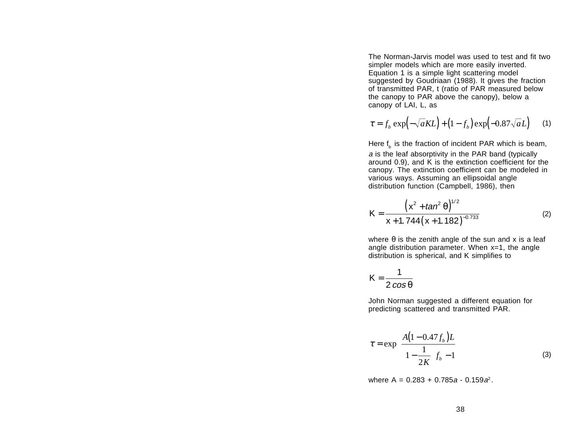The Norman-Jarvis model was used to test and fit twosimpler models which are more easily inverted. Equation 1 is a simple light scattering model suggested by Goudriaan (1988). It gives the fraction of transmitted PAR, t (ratio of PAR measured below the canopy to PAR above the canopy), below a canopy of LAI, L, as

$$
\tau = f_b \exp\left(-\sqrt{a}KL\right) + \left(1 - f_b\right) \exp\left(-0.87\sqrt{a}L\right) \tag{1}
$$

Here  $f<sub>b</sub>$  is the fraction of incident PAR which is beam, a is the leaf absorptivity in the PAR band (typically around 0.9), and K is the extinction coefficient for the canopy. The extinction coefficient can be modeled in various ways. Assuming an ellipsoidal angle distribution function (Campbell, 1986), then

$$
K = \frac{\left(x^2 + \tan^2 \theta\right)^{1/2}}{x + 1.744\left(x + 1.182\right)^{-0.733}}
$$
 (2)

where  $\theta$  is the zenith angle of the sun and x is a leaf angle distribution parameter. When  $x=1$ , the angle distribution is spherical, and K simplifies to

$$
K=\frac{1}{2\cos\theta}
$$

John Norman suggested a different equation for predicting scattered and transmitted PAR.

$$
\tau = \exp\left\{\frac{A(1 - 0.47f_b)L}{1 - \frac{1}{2K}}\right\}
$$
\n(3)

where A = 0.283 + 0.785*a* - 0.159*a*<sup>2</sup>.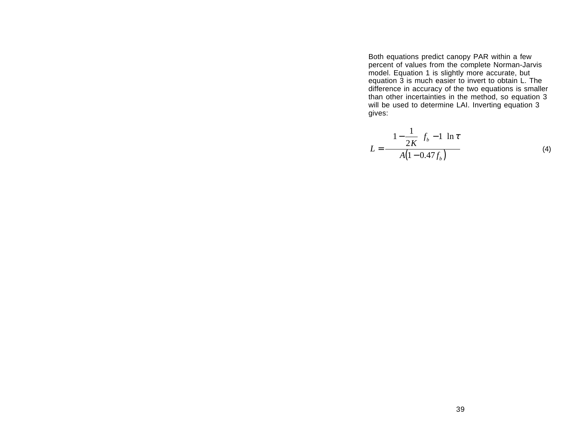Both equations predict canopy PAR within a few percent of values from the complete Norman-Jarvis model. Equation 1 is slightly more accurate, but equation 3 is much easier to invert to obtain L. The difference in accuracy of the two equations is smaller than other incertainties in the method, so equation 3 will be used to determine LAI. Inverting equation 3 gives:

$$
L = \frac{\left[\left(1 - \frac{1}{2K}\right)f_b - 1\right] \ln \tau}{A(1 - 0.47f_b)}
$$
\n(4)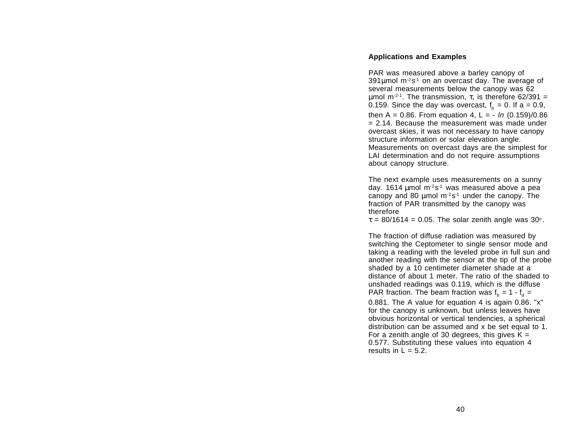## **Applications and Examples**

PAR was measured above a barley canopy of 391µmol m<sup>-2</sup>s<sup>-1</sup> on an overcast day. The average of several measurements below the canopy was 62 μmol m<sup>-2-1</sup>. The transmission, τ, is therefore 62/391 = 0.159. Since the day was overcast,  $f_b = 0$ . If a = 0.9, then A = 0.86. From equation 4, L = -  $\ln (0.159)/0.86$ = 2.14. Because the measurement was made underovercast skies, it was not necessary to have canopy structure information or solar elevation angle. Measurements on overcast days are the simplest for LAI determination and do not require assumptions about canopy structure.

The next example uses measurements on a sunny day. 1614  $\mu$ mol m<sup>-2</sup>s<sup>-1</sup> was measured above a pea canopy and 80  $\mu$ mol m $2s<sup>-1</sup>$  under the canopy. The fraction of PAR transmitted by the canopy was therefore

 $\tau = 80/1614 = 0.05$ . The solar zenith angle was 30°.

The fraction of diffuse radiation was measured by switching the Ceptometer to single sensor mode and taking a reading with the leveled probe in full sun and another reading with the sensor at the tip of the probe shaded by a 10 centimeter diameter shade at a distance of about 1 meter. The ratio of the shaded tounshaded readings was 0.119, which is the diffuse PAR fraction. The beam fraction was  $f<sub>b</sub> = 1 - f<sub>d</sub> =$ 

0.881. The A value for equation 4 is again 0.86. "x" for the canopy is unknown, but unless leaves have obvious horizontal or vertical tendencies, a spherical distribution can be assumed and x be set equal to 1. For a zenith angle of 30 degrees, this gives  $K =$ 0.577. Substituting these values into equation 4 results in  $L = 5.2$ .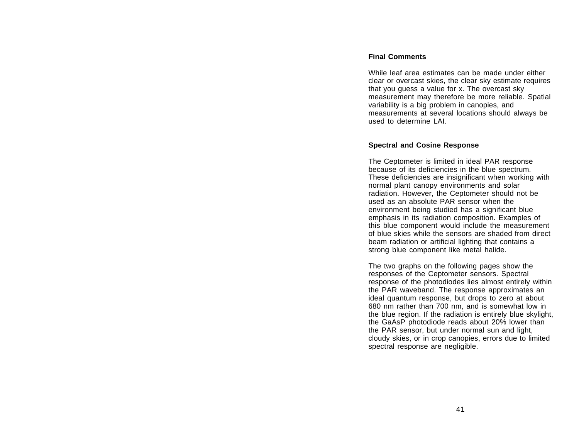## **Final Comments**

While leaf area estimates can be made under eitherclear or overcast skies, the clear sky estimate requires that you guess a value for x. The overcast sky measurement may therefore be more reliable. Spatial variability is a big problem in canopies, and measurements at several locations should always be used to determine LAI.

## **Spectral and Cosine Response**

The Ceptometer is limited in ideal PAR response because of its deficiencies in the blue spectrum. These deficiencies are insignificant when working with normal plant canopy environments and solar radiation. However, the Ceptometer should not be used as an absolute PAR sensor when theenvironment being studied has a significant blue emphasis in its radiation composition. Examples of this blue component would include the measurement of blue skies while the sensors are shaded from directbeam radiation or artificial lighting that contains a strong blue component like metal halide.

The two graphs on the following pages show the responses of the Ceptometer sensors. Spectral response of the photodiodes lies almost entirely within the PAR waveband. The response approximates an ideal quantum response, but drops to zero at about 680 nm rather than 700 nm, and is somewhat low in the blue region. If the radiation is entirely blue skylight, the GaAsP photodiode reads about 20% lower than the PAR sensor, but under normal sun and light, cloudy skies, or in crop canopies, errors due to limited spectral response are negligible.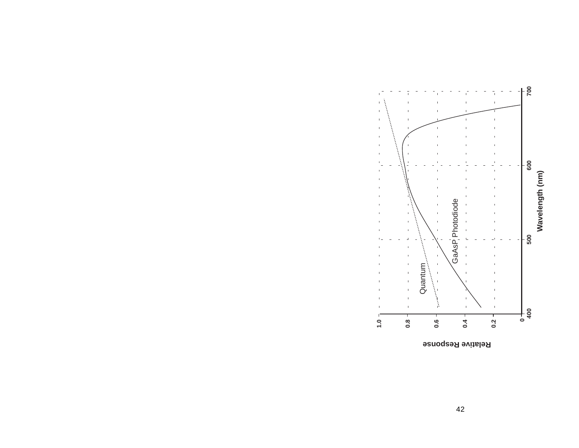

**Relative Response**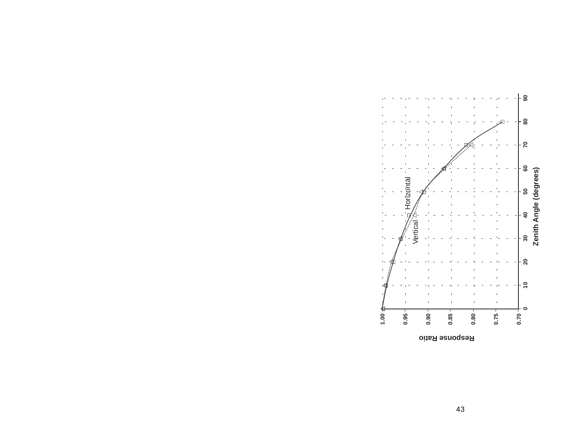

43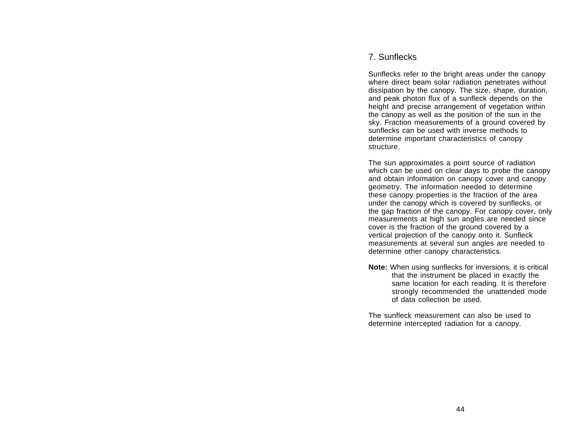# 7. Sunflecks

Sunflecks refer to the bright areas under the canopy where direct beam solar radiation penetrates without dissipation by the canopy. The size, shape, duration, and peak photon flux of a sunfleck depends on the height and precise arrangement of vegetation within the canopy as well as the position of the sun in the sky. Fraction measurements of a ground covered by sunflecks can be used with inverse methods todetermine important characteristics of canopy structure.

The sun approximates a point source of radiation which can be used on clear days to probe the canopy and obtain information on canopy cover and canopy geometry. The information needed to determine these canopy properties is the fraction of the area under the canopy which is covered by sunflecks, or the gap fraction of the canopy. For canopy cover, only measurements at high sun angles are needed since cover is the fraction of the ground covered by a vertical projection of the canopy onto it. Sunfleck measurements at several sun angles are needed to determine other canopy characteristics.

**Note:** When using sunflecks for inversions, it is critical that the instrument be placed in exactly the same location for each reading. It is therefore strongly recommended the unattended mode of data collection be used.

The sunfleck measurement can also be used todetermine intercepted radiation for a canopy.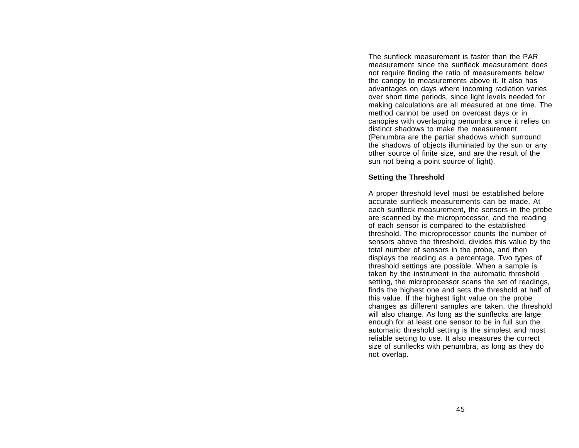The sunfleck measurement is faster than the PARmeasurement since the sunfleck measurement doesnot require finding the ratio of measurements below the canopy to measurements above it. It also has advantages on days where incoming radiation varies over short time periods, since light levels needed for making calculations are all measured at one time. The method cannot be used on overcast days or in canopies with overlapping penumbra since it relies on distinct shadows to make the measurement.(Penumbra are the partial shadows which surround the shadows of objects illuminated by the sun or any other source of finite size, and are the result of the sun not being a point source of light).

#### **Setting the Threshold**

A proper threshold level must be established before accurate sunfleck measurements can be made. Ateach sunfleck measurement, the sensors in the probe are scanned by the microprocessor, and the reading of each sensor is compared to the established threshold. The microprocessor counts the number of sensors above the threshold, divides this value by the total number of sensors in the probe, and then displays the reading as a percentage. Two types of threshold settings are possible. When a sample is taken by the instrument in the automatic threshold setting, the microprocessor scans the set of readings, finds the highest one and sets the threshold at half of this value. If the highest light value on the probe changes as different samples are taken, the threshold will also change. As long as the sunflecks are large enough for at least one sensor to be in full sun the automatic threshold setting is the simplest and most reliable setting to use. It also measures the correct size of sunflecks with penumbra, as long as they do not overlap.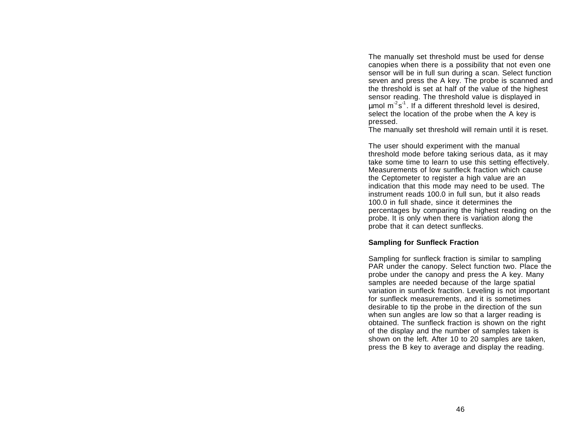The manually set threshold must be used for dense canopies when there is a possibility that not even one sensor will be in full sun during a scan. Select function seven and press the A key. The probe is scanned and the threshold is set at half of the value of the highest sensor reading. The threshold value is displayed in umol  $m^2 s^1$ . If a different threshold level is desired, select the location of the probe when the A key is pressed.

The manually set threshold will remain until it is reset.

The user should experiment with the manual threshold mode before taking serious data, as it may take some time to learn to use this setting effectively. Measurements of low sunfleck fraction which causethe Ceptometer to register a high value are an indication that this mode may need to be used. The instrument reads 100.0 in full sun, but it also reads 100.0 in full shade, since it determines the percentages by comparing the highest reading on the probe. It is only when there is variation along the probe that it can detect sunflecks.

#### **Sampling for Sunfleck Fraction**

Sampling for sunfleck fraction is similar to sampling PAR under the canopy. Select function two. Place the probe under the canopy and press the A key. Many samples are needed because of the large spatial variation in sunfleck fraction. Leveling is not important for sunfleck measurements, and it is sometimes desirable to tip the probe in the direction of the sun when sun angles are low so that a larger reading is obtained. The sunfleck fraction is shown on the right of the display and the number of samples taken is shown on the left. After 10 to 20 samples are taken, press the B key to average and display the reading.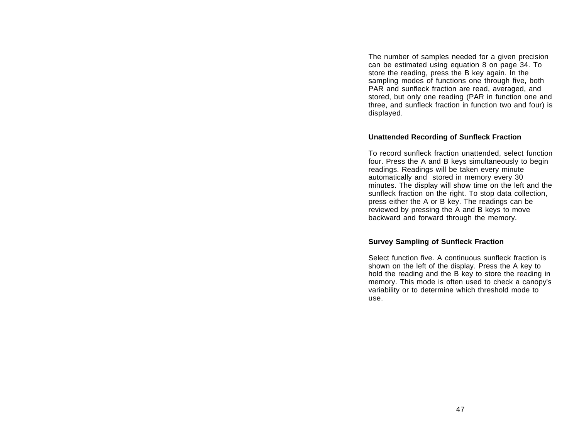The number of samples needed for a given precision can be estimated using equation 8 on page 34. To store the reading, press the B key again. In the sampling modes of functions one through five, both PAR and sunfleck fraction are read, averaged, and stored, but only one reading (PAR in function one and three, and sunfleck fraction in function two and four) is displayed.

#### **Unattended Recording of Sunfleck Fraction**

To record sunfleck fraction unattended, select function four. Press the A and B keys simultaneously to begin readings. Readings will be taken every minute automatically and stored in memory every 30 minutes. The display will show time on the left and the sunfleck fraction on the right. To stop data collection, press either the A or B key. The readings can be reviewed by pressing the A and B keys to move backward and forward through the memory.

#### **Survey Sampling of Sunfleck Fraction**

Select function five. A continuous sunfleck fraction isshown on the left of the display. Press the A key to hold the reading and the B key to store the reading in memory. This mode is often used to check a canopy's variability or to determine which threshold mode to use.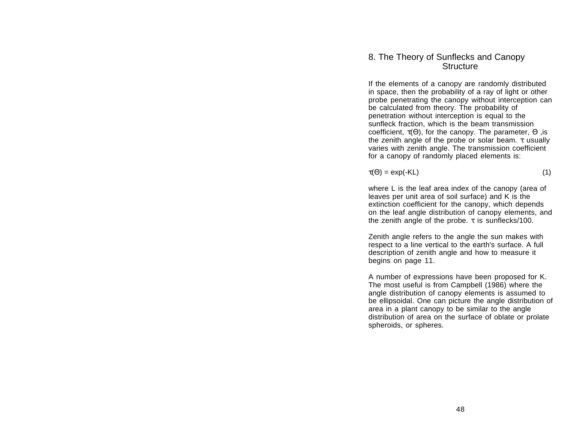## 8. The Theory of Sunflecks and Canopy Structure

If the elements of a canopy are randomly distributed in space, then the probability of a ray of light or other probe penetrating the canopy without interception can be calculated from theory. The probability of penetration without interception is equal to the sunfleck fraction, which is the beam transmission coefficient, τ(Θ), for the canopy. The parameter, Θ ,is the zenith angle of the probe or solar beam.  $τ$  usually varies with zenith angle. The transmission coefficient for a canopy of randomly placed elements is:

$$
\tau(\Theta) = \exp(-KL) \tag{1}
$$

where L is the leaf area index of the canopy (area of leaves per unit area of soil surface) and K is the extinction coefficient for the canopy, which depends on the leaf angle distribution of canopy elements, and the zenith angle of the probe.  $τ$  is sunflecks/100.

Zenith angle refers to the angle the sun makes with respect to a line vertical to the earth's surface. A full description of zenith angle and how to measure it begins on page 11.

A number of expressions have been proposed for K. The most useful is from Campbell (1986) where the angle distribution of canopy elements is assumed to be ellipsoidal. One can picture the angle distribution of area in a plant canopy to be similar to the angle distribution of area on the surface of oblate or prolate spheroids, or spheres.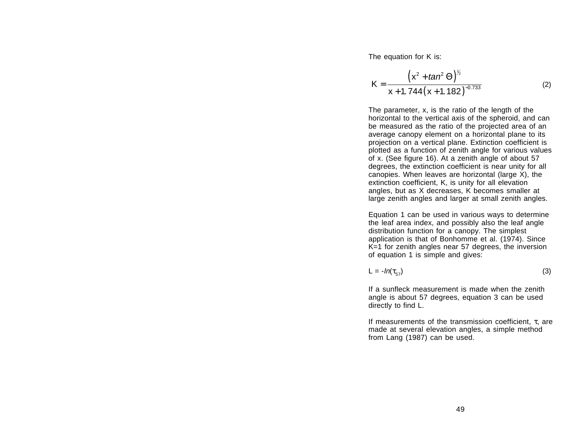The equation for K is:

$$
K = \frac{\left(x^2 + \tan^2 \Theta\right)^{\frac{1}{2}}}{x + 1.744\left(x + 1.182\right)^{-0.733}}
$$
 (2)

The parameter, x, is the ratio of the length of the horizontal to the vertical axis of the spheroid, and can be measured as the ratio of the projected area of an average canopy element on a horizontal plane to its projection on a vertical plane. Extinction coefficient is plotted as a function of zenith angle for various values of x. (See figure 16). At a zenith angle of about 57 degrees, the extinction coefficient is near unity for all canopies. When leaves are horizontal (large X), the extinction coefficient, K, is unity for all elevation angles, but as X decreases, K becomes smaller at large zenith angles and larger at small zenith angles.

Equation 1 can be used in various ways to determine the leaf area index, and possibly also the leaf angle distribution function for a canopy. The simplest application is that of Bonhomme et al. (1974). Since K=1 for zenith angles near 57 degrees, the inversion of equation 1 is simple and gives:

$$
L = -\ln(\tau_{57})\tag{3}
$$

If a sunfleck measurement is made when the zenithangle is about 57 degrees, equation 3 can be used directly to find L.

If measurements of the transmission coefficient, <sup>τ</sup>, are made at several elevation angles, a simple method from Lang (1987) can be used.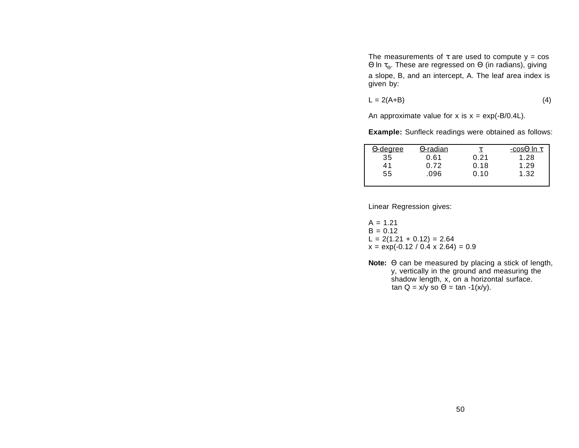The measurements of  $\tau$  are used to compute  $y = cos$ Θ ln τ<sub>Θ</sub>. These are regressed on Θ (in radians), giving a slope, B, and an intercept, A. The leaf area index is given by:

$$
L = 2(A+B) \tag{4}
$$

An approximate value for x is  $x = \exp(-B/0.4L)$ .

**Example:** Sunfleck readings were obtained as follows:

| <u> O-degree</u> | $\Theta$ -radian |      | -cos $\Theta$ In $\tau$ |
|------------------|------------------|------|-------------------------|
| 35               | 0.61             | 0.21 | 1.28                    |
| 41               | 0.72             | 0.18 | 1.29                    |
| 55               | .096             | 0.10 | 1.32                    |
|                  |                  |      |                         |

Linear Regression gives:

 $A = 1.21$  $B = 0.12$  $L = 2(1.21 + 0.12) = 2.64$  $x = \exp(-0.12 / 0.4 \times 2.64) = 0.9$ 

**Note:** Θ can be measured by placing a stick of length, y, vertically in the ground and measuring the shadow length, x, on a horizontal surface. tan Q = x/y so Θ = tan -1(x/y).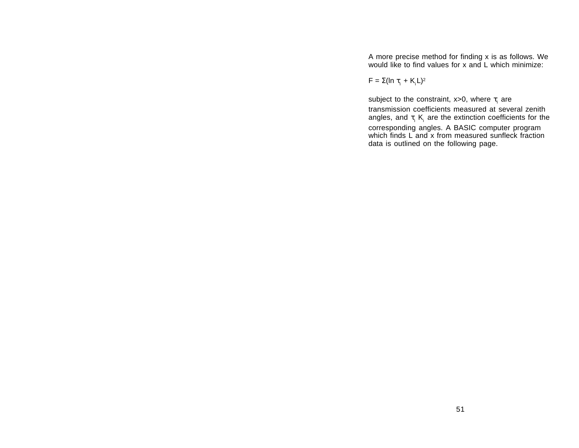A more precise method for finding x is as follows. We would like to find values for x and L which minimize:

 $\mathsf{F} = \Sigma(\mathsf{In}~\tau_{\mathsf{i}} + \mathsf{K}_{\mathsf{i}}\mathsf{L})^2$ 

subject to the constraint, x>0, where  $\tau_i$  are

transmission coefficients measured at several zenithangles, and  $\tau_i$  K<sub>i</sub> are the extinction coefficients for the corresponding angles. A BASIC computer program which finds L and x from measured sunfleck fraction data is outlined on the following page.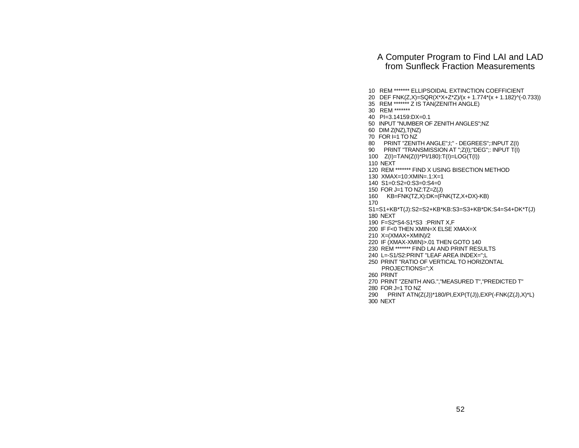## A Computer Program to Find LAI and LAD from Sunfleck Fraction Measurements

- 10 REM \*\*\*\*\*\*\* ELLIPSOIDAL EXTINCTION COEFFICIENT
- 20 DEF FNK(Z,X)=SQR(X\*X+Z\*Z)/(x + 1.774\*(x + 1.182)^(-0.733))
- 35 REM \*\*\*\*\*\*\* Z IS TAN(ZENITH ANGLE)
- 30 REM \*\*\*\*\*\*\*
- 40 PI=3.14159:DX=0.1
- 50 INPUT "NUMBER OF ZENITH ANGLES";NZ
- 60 DIM Z(NZ),T(NZ)
- 70 FOR I=1 TO NZ
- 80 PRINT "ZENITH ANGLE";I;" DEGREES";:INPUT Z(I)
- 90 PRINT "TRANSMISSION AT ";Z(I); "DEG";: INPUT T(I)
- 100 Z(I)=TAN(Z(I)\*PI/180):T(I)=LOG(T(I))
- 110 NEXT
- 120 REM \*\*\*\*\*\*\* FIND X USING BISECTION METHOD
- 130 XMAX=10:XMIN=.1:X=1
- 140 S1=0:S2=0:S3=0:S4=0
- 150 FOR J=1 TO NZ:TZ=Z(J)
- $KB = FNK(TZ,X):DK = (FNK(TZ,X+DX)-KB)$
- 170

 S1=S1+KB\*T(J):S2=S2+KB\*KB:S3=S3+KB\*DK:S4=S4+DK\*T(J) 180 NEXT

- 190 F=S2\*S4-S1\*S3 :PRINT X,F
- 200 IF F<0 THEN XMIN=X ELSE XMAX=X
- 210 X=(XMAX+XMIN)/2
- 220 IF (XMAX-XMIN)>.01 THEN GOTO 140
- 230 REM \*\*\*\*\*\*\* FIND LAI AND PRINT RESULTS
- 240 L=-S1/S2:PRINT "LEAF AREA INDEX=";L
- 250 PRINT "RATIO OF VERTICAL TO HORIZONTALPROJECTIONS=";X
- 260 PRINT
- 270 PRINT "ZENITH ANG.","MEASURED T","PREDICTED T"
- 280 FOR J=1 TO NZ
- 290 PRINT ATN(Z(J))\*180/PI,EXP(T(J)),EXP(-FNK(Z(J),X)\*L) 300 NEXT
-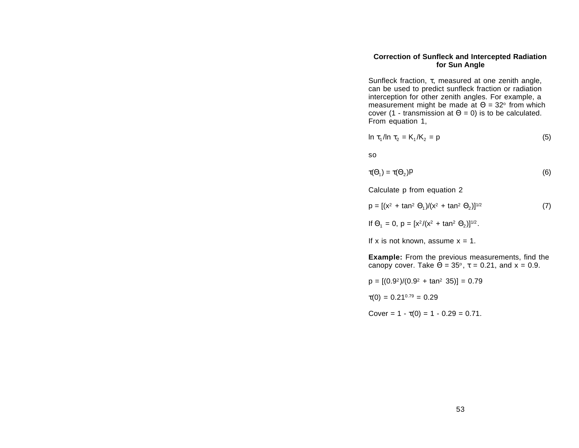#### **Correction of Sunfleck and Intercepted Radiation for Sun Angle**

Sunfleck fraction, <sup>τ</sup>, measured at one zenith angle, can be used to predict sunfleck fraction or radiation interception for other zenith angles. For example, a measurement might be made at  $\Theta$  = 32° from which cover (1 - transmission at  $\Theta$  = 0) is to be calculated. From equation 1,

$$
\ln \tau_1 / \ln \tau_2 = K_1 / K_2 = p \tag{5}
$$

so

$$
\tau(\Theta_1) = \tau(\Theta_2)P
$$
 (6)

Calculate p from equation 2

$$
p = [(x2 + tan2 \Theta1)/(x2 + tan2 \Theta2)]1/2
$$
 (7)

If 
$$
\Theta_1 = 0
$$
,  $p = [x^2/(x^2 + \tan^2 \Theta_2)]^{1/2}$ .

If x is not known, assume  $x = 1$ .

**Example:** From the previous measurements, find the canopy cover. Take  $\Theta$  = 35°,  $\tau$  = 0.21, and x = 0.9.

$$
p = [(0.92)/(0.92 + tan2 35)] = 0.79
$$

 $\tau(0) = 0.21^{0.79} = 0.29$ 

Cover =  $1 - \tau(0) = 1 - 0.29 = 0.71$ .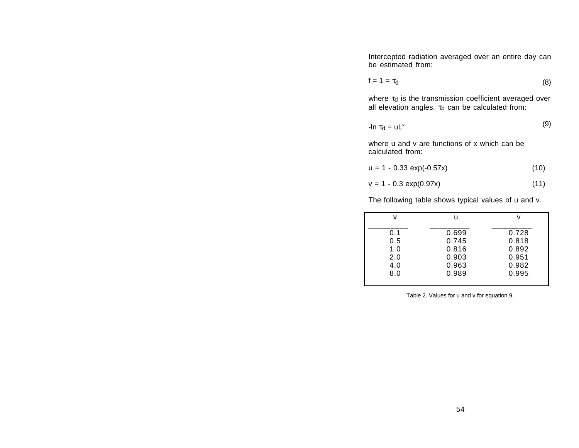Intercepted radiation averaged over an entire day can be estimated from:

$$
f = 1 = \tau_d \tag{8}
$$

where  $\tau_d$  is the transmission coefficient averaged over all elevation angles.  $\tau_d$  can be calculated from:

$$
-\ln \tau_{\rm d} = \rm u L^{\vee} \tag{9}
$$

where u and v are functions of x which can be calculated from:

$$
u = 1 - 0.33 \exp(-0.57x) \tag{10}
$$

$$
v = 1 - 0.3 \exp(0.97x) \tag{11}
$$

The following table shows typical values of u and v.

| v   | u     | v     |
|-----|-------|-------|
| 0.1 | 0.699 | 0.728 |
| 0.5 | 0.745 | 0.818 |
| 1.0 | 0.816 | 0.892 |
| 2.0 | 0.903 | 0.951 |
| 4.0 | 0.963 | 0.982 |
| 8.0 | 0.989 | 0.995 |
|     |       |       |

Table 2. Values for u and v for equation 9.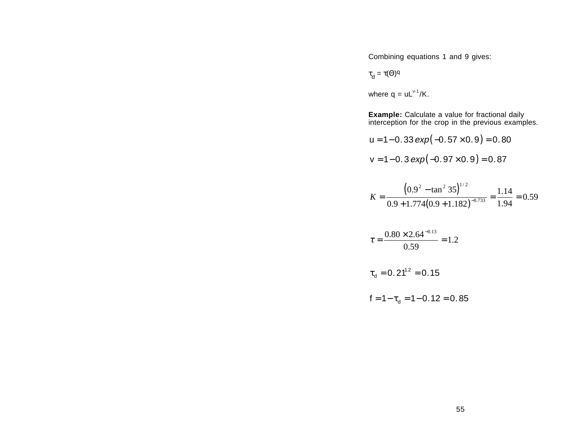Combining equations 1 and 9 gives:

$$
\tau_{\rm d} = \tau(\Theta)^{\rm q}
$$

where  $q = uL^{v-1}/K$ .

**Example:** Calculate a value for fractional daily interception for the crop in the previous examples.

$$
u = 1 - 0.33 \exp(-0.57 \times 0.9) = 0.80
$$
  

$$
v = 1 - 0.3 \exp(-0.97 \times 0.9) = 0.87
$$

$$
K = \frac{\left(0.9^2 - \tan^2 35\right)^{1/2}}{0.9 + 1.774 \left(0.9 + 1.182\right)^{-0.733}} = \frac{1.14}{1.94} = 0.59
$$

$$
\tau = \frac{0.80 \times 2.64^{-0.13}}{0.59} = 1.2
$$

$$
\tau_{\rm d}=0.21^{1.2}=0.15
$$

$$
f = 1 - \tau_{d} = 1 - 0.12 = 0.85
$$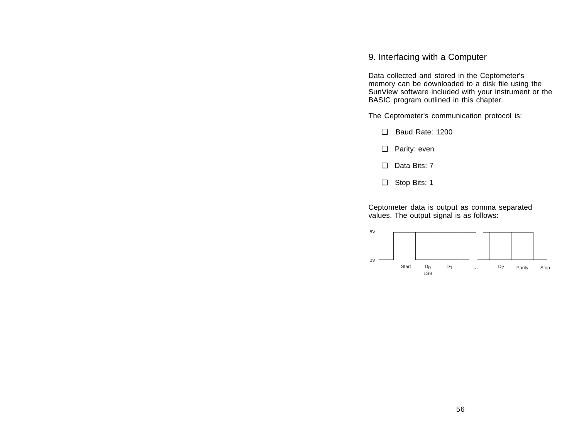## 9. Interfacing with a Computer

Data collected and stored in the Ceptometer's memory can be downloaded to a disk file using the SunView software included with your instrument or the BASIC program outlined in this chapter.

The Ceptometer's communication protocol is:

- ❑ Baud Rate: 1200
- ❑ Parity: even
- ❑ Data Bits: 7
- ❑ Stop Bits: 1

Ceptometer data is output as comma separated values. The output signal is as follows:

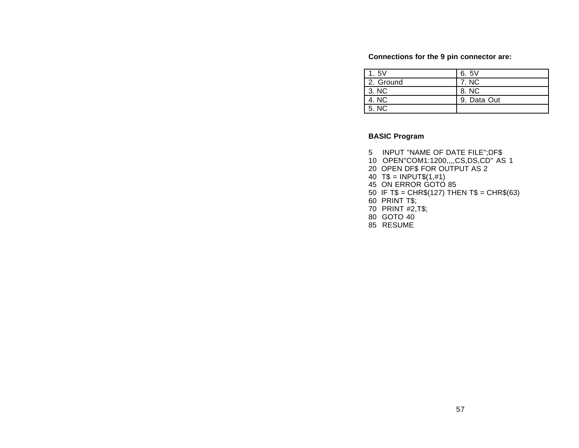#### **Connections for the 9 pin connector are:**

| 1.5V      | 6.5V        |
|-----------|-------------|
| 2. Ground | 7. NC       |
| 3. NC     | 8. NC       |
| 4. NC     | 9. Data Out |
| 5. NC     |             |

## **BASIC Program**

- 5 INPUT "NAME OF DATE FILE";DF\$
- 10 OPEN"COM1:1200,,,,CS,DS,CD" AS 1
- 20 OPEN DF\$ FOR OUTPUT AS 2
- 40  $TS = INPUT$(1, #1)$
- 45 ON ERROR GOTO 85
- 50 IF T\$ = CHR\$(127) THEN T\$ = CHR\$(63)
- 60 PRINT T\$;
- 70 PRINT #2,T\$;
- 80 GOTO 40
- 85 RESUME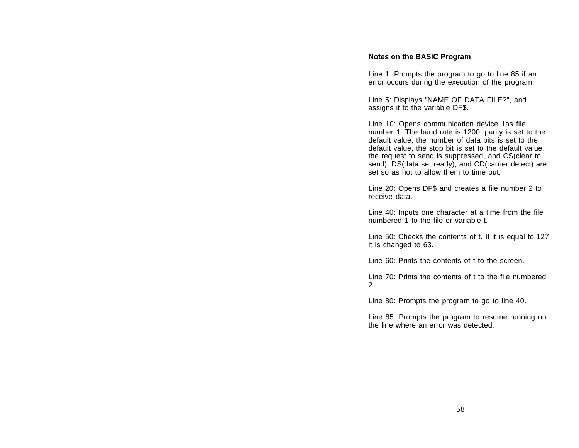#### **Notes on the BASIC Program**

Line 1: Prompts the program to go to line 85 if an error occurs during the execution of the program.

Line 5: Displays "NAME OF DATA FILE?", and assigns it to the variable DF\$.

Line 10: Opens communication device 1as file number 1. The baud rate is 1200, parity is set to the default value, the number of data bits is set to the default value, the stop bit is set to the default value, the request to send is suppressed, and CS(clear to send), DS(data set ready), and CD(carrier detect) are set so as not to allow them to time out.

Line 20: Opens DF\$ and creates a file number 2 to receive data.

Line 40: Inputs one character at a time from the file numbered 1 to the file or variable t.

Line 50: Checks the contents of t. If it is equal to 127, it is changed to 63.

Line 60: Prints the contents of t to the screen.

Line 70: Prints the contents of t to the file numbered2.

Line 80: Prompts the program to go to line 40.

Line 85: Prompts the program to resume running on the line where an error was detected.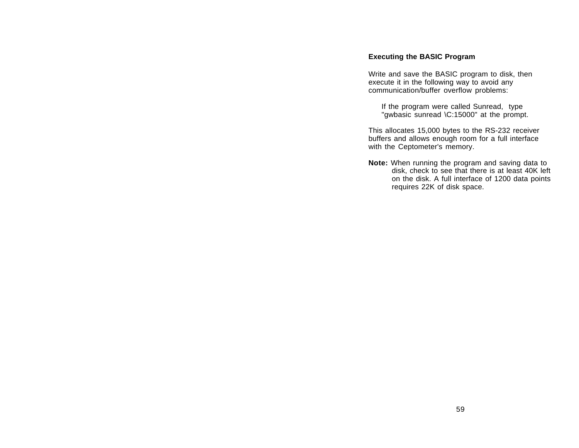#### **Executing the BASIC Program**

Write and save the BASIC program to disk, then execute it in the following way to avoid any communication/buffer overflow problems:

If the program were called Sunread, type "gwbasic sunread \C:15000" at the prompt.

This allocates 15,000 bytes to the RS-232 receiver buffers and allows enough room for a full interface with the Ceptometer's memory.

**Note:** When running the program and saving data to disk, check to see that there is at least 40K left on the disk. A full interface of 1200 data points requires 22K of disk space.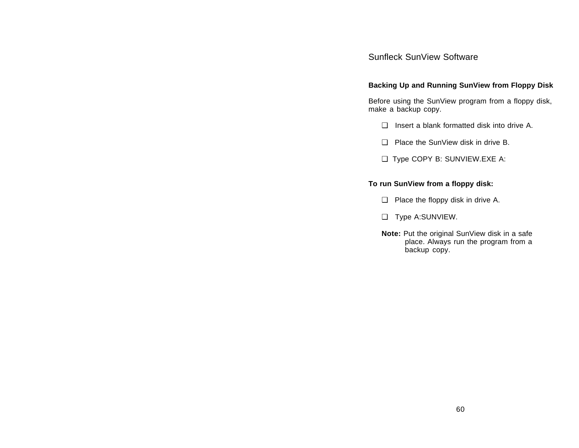# Sunfleck SunView Software

## **Backing Up and Running SunView from Floppy Disk**

Before using the SunView program from a floppy disk, make a backup copy.

- ❑ Insert a blank formatted disk into drive A.
- ❑ Place the SunView disk in drive B.
- ❑ Type COPY B: SUNVIEW.EXE A:

## **To run SunView from a floppy disk:**

- ❑ Place the floppy disk in drive A.
- ❑ Type A:SUNVIEW.
- **Note:** Put the original SunView disk in a safe place. Always run the program from a backup copy.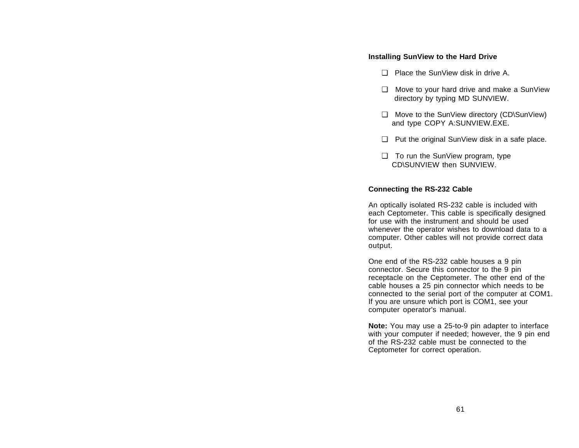## **Installing SunView to the Hard Drive**

- □ Place the SunView disk in drive A.
- ❑ Move to your hard drive and make a SunView directory by typing MD SUNVIEW.
- ❑ Move to the SunView directory (CD\SunView) and type COPY A:SUNVIEW.EXE.
- ❑ Put the original SunView disk in a safe place.
- ❑ To run the SunView program, type CD\SUNVIEW then SUNVIEW.

## **Connecting the RS-232 Cable**

An optically isolated RS-232 cable is included with each Ceptometer. This cable is specifically designed for use with the instrument and should be usedwhenever the operator wishes to download data to a computer. Other cables will not provide correct data output.

One end of the RS-232 cable houses a 9 pin connector. Secure this connector to the 9 pin receptacle on the Ceptometer. The other end of the cable houses a 25 pin connector which needs to be connected to the serial port of the computer at COM1. If you are unsure which port is COM1, see your computer operator's manual.

**Note:** You may use a 25-to-9 pin adapter to interface with your computer if needed; however, the 9 pin end of the RS-232 cable must be connected to theCeptometer for correct operation.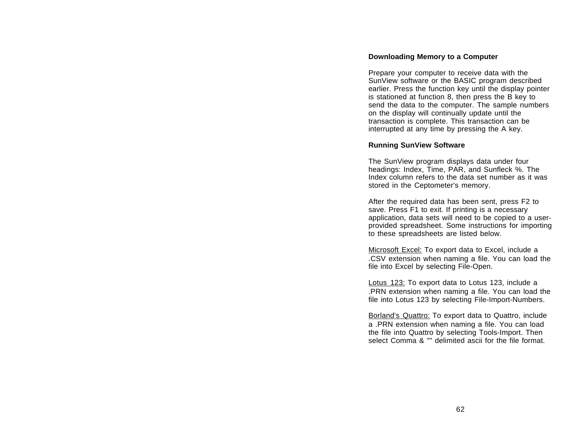#### **Downloading Memory to a Computer**

Prepare your computer to receive data with the SunView software or the BASIC program described earlier. Press the function key until the display pointer is stationed at function 8, then press the B key to send the data to the computer. The sample numbers on the display will continually update until the transaction is complete. This transaction can be interrupted at any time by pressing the A key.

#### **Running SunView Software**

The SunView program displays data under four headings: Index, Time, PAR, and Sunfleck %. The Index column refers to the data set number as it wasstored in the Ceptometer's memory.

After the required data has been sent, press F2 to save. Press F1 to exit. If printing is a necessary application, data sets will need to be copied to a userprovided spreadsheet. Some instructions for importing to these spreadsheets are listed below.

Microsoft Excel: To export data to Excel, include a .CSV extension when naming a file. You can load the file into Excel by selecting File-Open.

Lotus 123: To export data to Lotus 123, include a .PRN extension when naming a file. You can load the file into Lotus 123 by selecting File-Import-Numbers.

Borland's Quattro: To export data to Quattro, include a .PRN extension when naming a file. You can load the file into Quattro by selecting Tools-Import. Then select Comma & "" delimited ascii for the file format.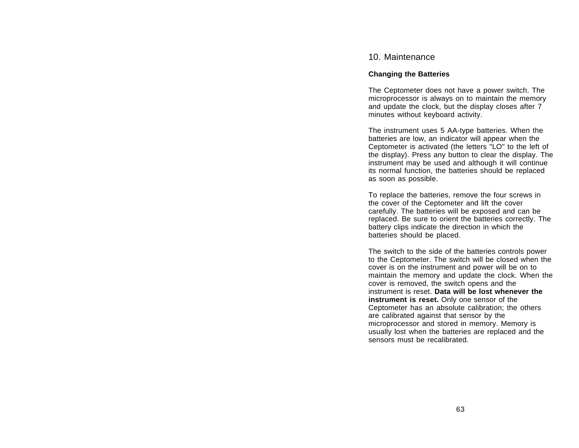## 10. Maintenance

### **Changing the Batteries**

The Ceptometer does not have a power switch. The microprocessor is always on to maintain the memory and update the clock, but the display closes after 7 minutes without keyboard activity.

The instrument uses 5 AA-type batteries. When the batteries are low, an indicator will appear when the Ceptometer is activated (the letters "LO" to the left of the display). Press any button to clear the display. The instrument may be used and although it will continue its normal function, the batteries should be replaced as soon as possible.

To replace the batteries, remove the four screws in the cover of the Ceptometer and lift the cover carefully. The batteries will be exposed and can be replaced. Be sure to orient the batteries correctly. The battery clips indicate the direction in which the batteries should be placed.

The switch to the side of the batteries controls power to the Ceptometer. The switch will be closed when the cover is on the instrument and power will be on to maintain the memory and update the clock. When the cover is removed, the switch opens and the instrument is reset. **Data will be lost whenever theinstrument is reset.** Only one sensor of the Ceptometer has an absolute calibration; the others are calibrated against that sensor by the microprocessor and stored in memory. Memory is usually lost when the batteries are replaced and the sensors must be recalibrated.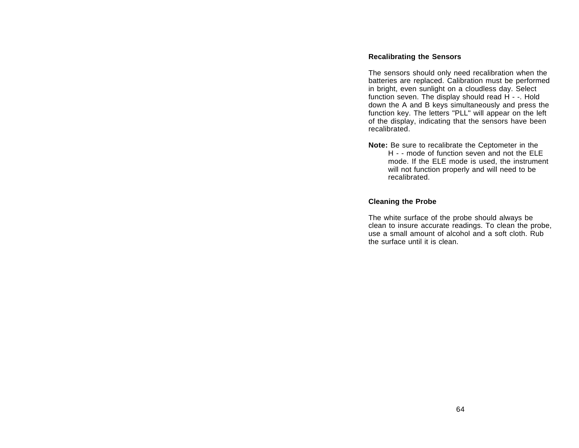## **Recalibrating the Sensors**

The sensors should only need recalibration when the batteries are replaced. Calibration must be performed in bright, even sunlight on a cloudless day. Select function seven. The display should read H - -. Hold down the A and B keys simultaneously and press the function key. The letters "PLL" will appear on the left of the display, indicating that the sensors have been recalibrated.

**Note:** Be sure to recalibrate the Ceptometer in the H - - mode of function seven and not the ELEmode. If the ELE mode is used, the instrument will not function properly and will need to be recalibrated.

## **Cleaning the Probe**

The white surface of the probe should always be clean to insure accurate readings. To clean the probe, use a small amount of alcohol and a soft cloth. Rubthe surface until it is clean.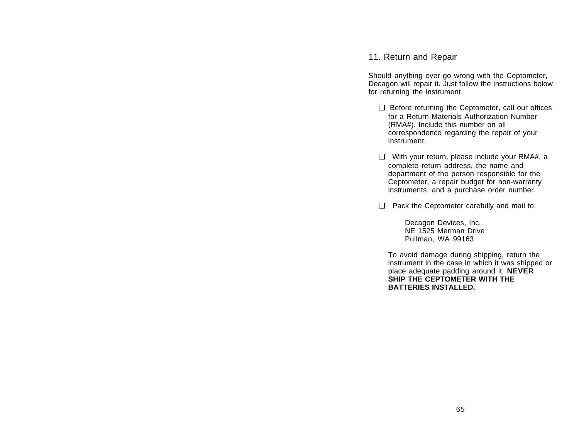# 11. Return and Repair

Should anything ever go wrong with the Ceptometer, Decagon will repair it. Just follow the instructions below for returning the instrument.

- ❑ Before returning the Ceptometer, call our offices for a Return Materials Authorization Number(RMA#). Include this number on all correspondence regarding the repair of your instrument.
- ❑ With your return, please include your RMA#, a complete return address, the name and department of the person responsible for the Ceptometer, a repair budget for non-warranty instruments, and a purchase order number.
- ❑ Pack the Ceptometer carefully and mail to:

Decagon Devices, Inc. NE 1525 Merman DrivePullman, WA 99163

To avoid damage during shipping, return the instrument in the case in which it was shipped or place adequate padding around it. **NEVER SHIP THE CEPTOMETER WITH THEBATTERIES INSTALLED.**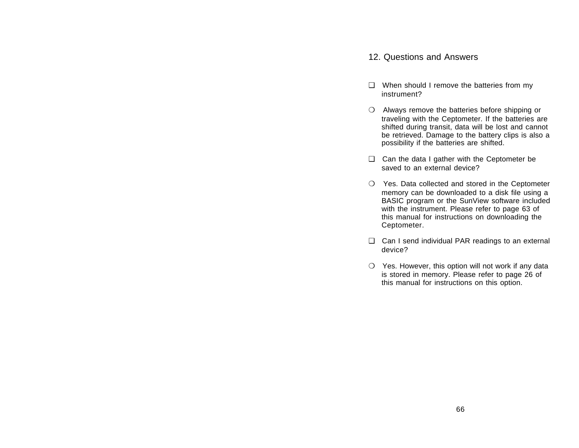## 12. Questions and Answers

- ❑ When should I remove the batteries from my instrument?
- ❍ Always remove the batteries before shipping or traveling with the Ceptometer. If the batteries are shifted during transit, data will be lost and cannot be retrieved. Damage to the battery clips is also a possibility if the batteries are shifted.
- ❑ Can the data I gather with the Ceptometer be saved to an external device?
- ❍ Yes. Data collected and stored in the Ceptometer memory can be downloaded to a disk file using a BASIC program or the SunView software included with the instrument. Please refer to page 63 of this manual for instructions on downloading the Ceptometer.
- ❑ Can I send individual PAR readings to an external device?
- $\bigcirc$  Yes. However, this option will not work if any data is stored in memory. Please refer to page 26 of this manual for instructions on this option.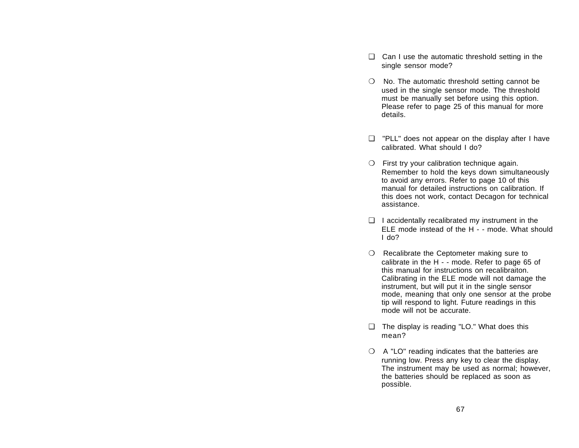- ❑ Can I use the automatic threshold setting in the single sensor mode?
- ❍ No. The automatic threshold setting cannot be used in the single sensor mode. The threshold must be manually set before using this option. Please refer to page 25 of this manual for more details.
- ❑ "PLL" does not appear on the display after I have calibrated. What should I do?
- $\bigcirc$  First try your calibration technique again. Remember to hold the keys down simultaneously to avoid any errors. Refer to page 10 of this manual for detailed instructions on calibration. Ifthis does not work, contact Decagon for technical assistance.
- $\Box$  I accidentally recalibrated my instrument in the ELE mode instead of the H - - mode. What shouldI do?
- ❍ Recalibrate the Ceptometer making sure to calibrate in the H - - mode. Refer to page 65 of this manual for instructions on recalibraiton.Calibrating in the ELE mode will not damage the instrument, but will put it in the single sensor mode, meaning that only one sensor at the probe tip will respond to light. Future readings in this mode will not be accurate.
- ❑ The display is reading "LO." What does this mean?
- $\bigcirc$  A "LO" reading indicates that the batteries are running low. Press any key to clear the display. The instrument may be used as normal; however, the batteries should be replaced as soon as possible.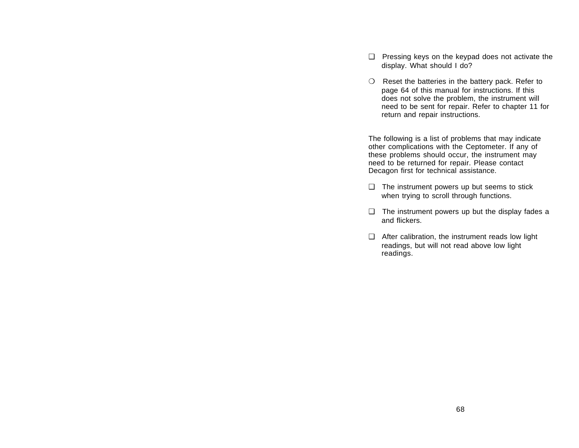- ❑ Pressing keys on the keypad does not activate the display. What should I do?
- ❍ Reset the batteries in the battery pack. Refer to page 64 of this manual for instructions. If this does not solve the problem, the instrument will need to be sent for repair. Refer to chapter 11 for return and repair instructions.

The following is a list of problems that may indicate other complications with the Ceptometer. If any of these problems should occur, the instrument may need to be returned for repair. Please contact Decagon first for technical assistance.

- ❑ The instrument powers up but seems to stick when trying to scroll through functions.
- ❑ The instrument powers up but the display fades a and flickers.
- ❑ After calibration, the instrument reads low light readings, but will not read above low light readings.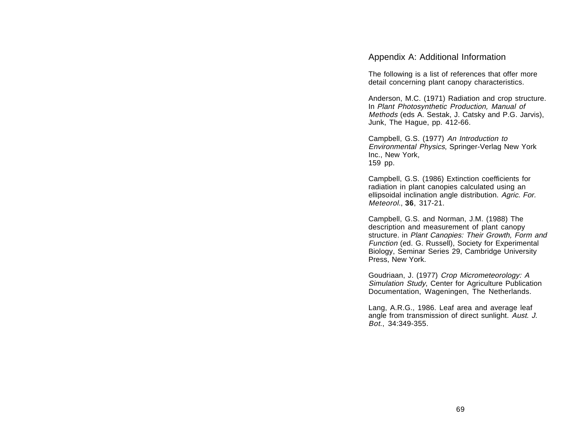Appendix A: Additional Information

The following is a list of references that offer more detail concerning plant canopy characteristics.

Anderson, M.C. (1971) Radiation and crop structure. In Plant Photosynthetic Production, Manual of Methods (eds A. Sestak, J. Catsky and P.G. Jarvis), Junk, The Hague, pp. 412-66.

Campbell, G.S. (1977) An Introduction to Environmental Physics, Springer-Verlag New York Inc., New York, 159 pp.

Campbell, G.S. (1986) Extinction coefficients for radiation in plant canopies calculated using an ellipsoidal inclination angle distribution. Agric. For. Meteorol., **36**, 317-21.

Campbell, G.S. and Norman, J.M. (1988) The description and measurement of plant canopy structure. in Plant Canopies: Their Growth, Form and Function (ed. G. Russell), Society for Experimental Biology, Seminar Series 29, Cambridge University Press, New York.

Goudriaan, J. (1977) Crop Micrometeorology: A Simulation Study, Center for Agriculture Publication Documentation, Wageningen, The Netherlands.

Lang, A.R.G., 1986. Leaf area and average leaf angle from transmission of direct sunlight. Aust. J. Bot., 34:349-355.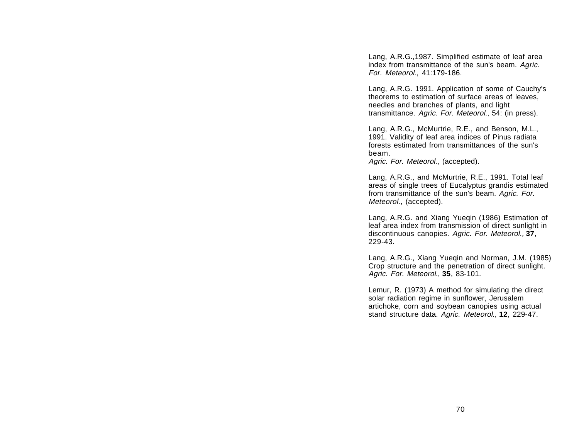Lang, A.R.G.,1987. Simplified estimate of leaf area index from transmittance of the sun's beam. Agric. For. Meteorol., 41:179-186.

Lang, A.R.G. 1991. Application of some of Cauchy's theorems to estimation of surface areas of leaves, needles and branches of plants, and light transmittance. Agric. For. Meteorol., 54: (in press).

Lang, A.R.G., McMurtrie, R.E., and Benson, M.L., 1991. Validity of leaf area indices of Pinus radiata forests estimated from transmittances of the sun'sbeam.

Agric. For. Meteorol., (accepted).

Lang, A.R.G., and McMurtrie, R.E., 1991. Total leaf areas of single trees of Eucalyptus grandis estimated from transmittance of the sun's beam. Agric. For. Meteorol., (accepted).

Lang, A.R.G. and Xiang Yueqin (1986) Estimation of leaf area index from transmission of direct sunlight in discontinuous canopies. Agric. For. Meteorol., **37**, 229-43.

Lang, A.R.G., Xiang Yueqin and Norman, J.M. (1985) Crop structure and the penetration of direct sunlight. Agric. For. Meteorol., **35**, 83-101.

Lemur, R. (1973) A method for simulating the direct solar radiation regime in sunflower, Jerusalem artichoke, corn and soybean canopies using actual stand structure data. Agric. Meteorol., **12**, 229-47.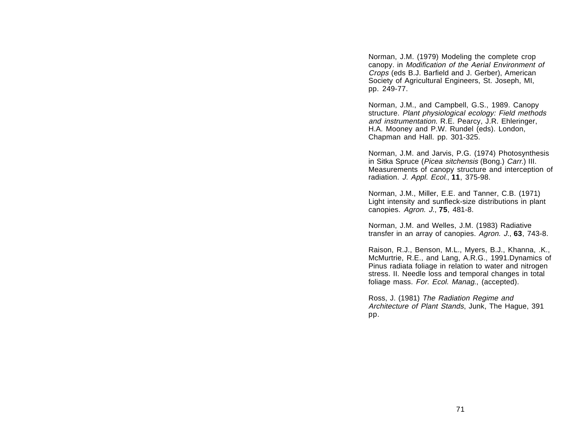Norman, J.M. (1979) Modeling the complete crop canopy. in Modification of the Aerial Environment of Crops (eds B.J. Barfield and J. Gerber), American Society of Agricultural Engineers, St. Joseph, MI, pp. 249-77.

Norman, J.M., and Campbell, G.S., 1989. Canopy structure. Plant physiological ecology: Field methods and instrumentation. R.E. Pearcy, J.R. Ehleringer, H.A. Mooney and P.W. Rundel (eds). London, Chapman and Hall. pp. 301-325.

Norman, J.M. and Jarvis, P.G. (1974) Photosynthesis in Sitka Spruce (Picea sitchensis (Bong.) Carr.) III. Measurements of canopy structure and interception of radiation. J. Appl. Ecol., **11**, 375-98.

Norman, J.M., Miller, E.E. and Tanner, C.B. (1971) Light intensity and sunfleck-size distributions in plant canopies. Agron. J., **75**, 481-8.

Norman, J.M. and Welles, J.M. (1983) Radiative transfer in an array of canopies. Agron. J., **63**, 743-8.

Raison, R.J., Benson, M.L., Myers, B.J., Khanna, .K., McMurtrie, R.E., and Lang, A.R.G., 1991.Dynamics of Pinus radiata foliage in relation to water and nitrogen stress. II. Needle loss and temporal changes in total foliage mass. For. Ecol. Manag., (accepted).

Ross, J. (1981) The Radiation Regime and Architecture of Plant Stands, Junk, The Hague, 391 pp.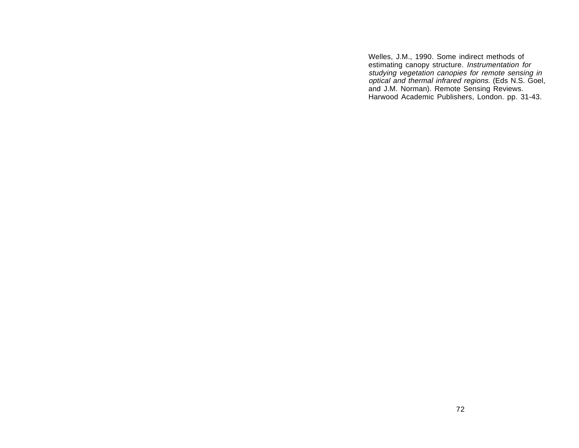Welles, J.M., 1990. Some indirect methods of estimating canopy structure. Instrumentation for studying vegetation canopies for remote sensing in optical and thermal infrared regions. (Eds N.S. Goel, and J.M. Norman). Remote Sensing Reviews. Harwood Academic Publishers, London. pp. 31-43.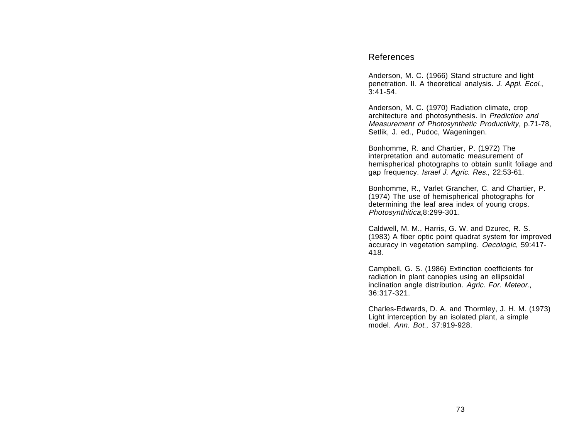## References

Anderson, M. C. (1966) Stand structure and light penetration. II. A theoretical analysis. J. Appl. Ecol., 3:41-54.

Anderson, M. C. (1970) Radiation climate, crop architecture and photosynthesis. in Prediction and Measurement of Photosynthetic Productivity, p.71-78, Setlik, J. ed., Pudoc, Wageningen.

Bonhomme, R. and Chartier, P. (1972) The interpretation and automatic measurement of hemispherical photographs to obtain sunlit foliage and gap frequency. Israel J. Agric. Res., 22:53-61.

Bonhomme, R., Varlet Grancher, C. and Chartier, P. (1974) The use of hemispherical photographs for determining the leaf area index of young crops. Photosynthitica,8:299-301.

Caldwell, M. M., Harris, G. W. and Dzurec, R. S. (1983) A fiber optic point quadrat system for improved accuracy in vegetation sampling. Oecologic, 59:417- 418.

Campbell, G. S. (1986) Extinction coefficients for radiation in plant canopies using an ellipsoidal inclination angle distribution. Agric. For. Meteor., 36:317-321.

Charles-Edwards, D. A. and Thormley, J. H. M. (1973) Light interception by an isolated plant, a simple model. Ann. Bot., 37:919-928.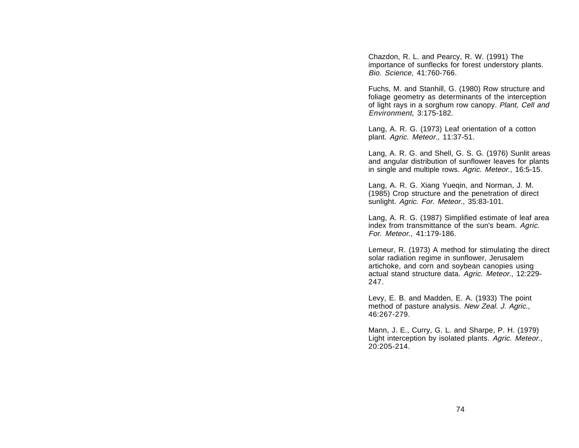Chazdon, R. L. and Pearcy, R. W. (1991) The importance of sunflecks for forest understory plants. Bio. Science, 41:760-766.

Fuchs, M. and Stanhill, G. (1980) Row structure and foliage geometry as determinants of the interception of light rays in a sorghum row canopy. Plant, Cell and Environment, 3:175-182.

Lang, A. R. G. (1973) Leaf orientation of a cotton plant. Agric. Meteor., 11:37-51.

Lang, A. R. G. and Shell, G. S. G. (1976) Sunlit areas and angular distribution of sunflower leaves for plants in single and multiple rows. Agric. Meteor., 16:5-15.

Lang, A. R. G. Xiang Yueqin, and Norman, J. M. (1985) Crop structure and the penetration of direct sunlight. Agric. For. Meteor., 35:83-101.

Lang, A. R. G. (1987) Simplified estimate of leaf area index from transmittance of the sun's beam. Agric. For. Meteor., 41:179-186.

Lemeur, R. (1973) A method for stimulating the direct solar radiation regime in sunflower, Jerusalem artichoke, and corn and soybean canopies using actual stand structure data. Agric. Meteor., 12:229- 247.

Levy, E. B. and Madden, E. A. (1933) The point method of pasture analysis. New Zeal. J. Agric., 46:267-279.

Mann, J. E., Curry, G. L. and Sharpe, P. H. (1979) Light interception by isolated plants. Agric. Meteor., 20:205-214.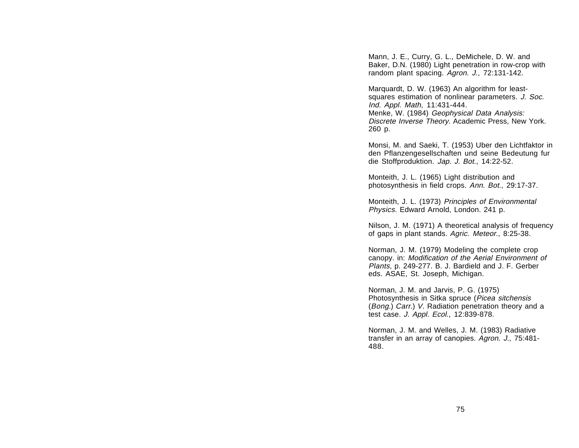Mann, J. E., Curry, G. L., DeMichele, D. W. and Baker, D.N. (1980) Light penetration in row-crop with random plant spacing. Agron. J., 72:131-142.

Marquardt, D. W. (1963) An algorithm for leastsquares estimation of nonlinear parameters. J. Soc. Ind. Appl. Math, 11:431-444. Menke, W. (1984) Geophysical Data Analysis: Discrete Inverse Theory. Academic Press, New York. 260 p.

Monsi, M. and Saeki, T. (1953) Uber den Lichtfaktor in den Pflanzengesellschaften und seine Bedeutung fur die Stoffproduktion. Jap. J. Bot., 14:22-52.

Monteith, J. L. (1965) Light distribution and photosynthesis in field crops. Ann. Bot., 29:17-37.

Monteith, J. L. (1973) Principles of Environmental Physics. Edward Arnold, London. 241 p.

Nilson, J. M. (1971) A theoretical analysis of frequency of gaps in plant stands. Agric. Meteor., 8:25-38.

Norman, J. M. (1979) Modeling the complete crop canopy. in: Modification of the Aerial Environment of Plants, p. 249-277. B. J. Bardield and J. F. Gerber eds. ASAE, St. Joseph, Michigan.

Norman, J. M. and Jarvis, P. G. (1975) Photosynthesis in Sitka spruce (Picea sitchensis (*Bong.*) *Carr.*) V. Radiation penetration theory and a test case. J. Appl. Ecol., 12:839-878.

Norman, J. M. and Welles, J. M. (1983) Radiative transfer in an array of canopies. Agron. J., 75:481- 488.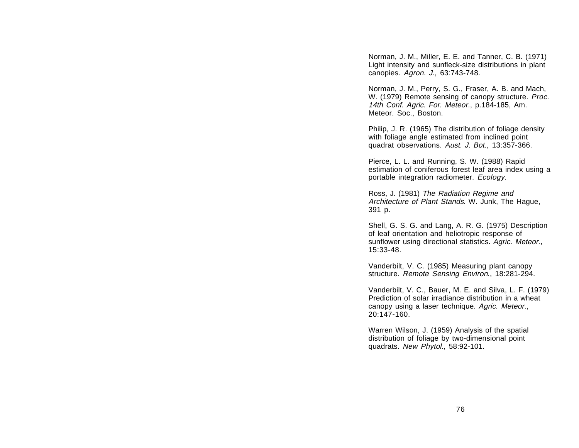Norman, J. M., Miller, E. E. and Tanner, C. B. (1971) Light intensity and sunfleck-size distributions in plant canopies. Agron. J., 63:743-748.

Norman, J. M., Perry, S. G., Fraser, A. B. and Mach, W. (1979) Remote sensing of canopy structure. *Proc.* 14th Conf. Agric. For. Meteor., p.184-185, Am. Meteor. Soc., Boston.

Philip, J. R. (1965) The distribution of foliage density with foliage angle estimated from inclined point quadrat observations. Aust. J. Bot., 13:357-366.

Pierce, L. L. and Running, S. W. (1988) Rapid estimation of coniferous forest leaf area index using a portable integration radiometer. Ecology.

Ross, J. (1981) The Radiation Regime and Architecture of Plant Stands. W. Junk, The Hague, 391 p.

Shell, G. S. G. and Lang, A. R. G. (1975) Description of leaf orientation and heliotropic response of sunflower using directional statistics. Agric. Meteor., 15:33-48.

Vanderbilt, V. C. (1985) Measuring plant canopy structure. Remote Sensing Environ., 18:281-294.

Vanderbilt, V. C., Bauer, M. E. and Silva, L. F. (1979) Prediction of solar irradiance distribution in a wheatcanopy using a laser technique. Agric. Meteor., 20:147-160.

Warren Wilson, J. (1959) Analysis of the spatial distribution of foliage by two-dimensional point quadrats. New Phytol., 58:92-101.